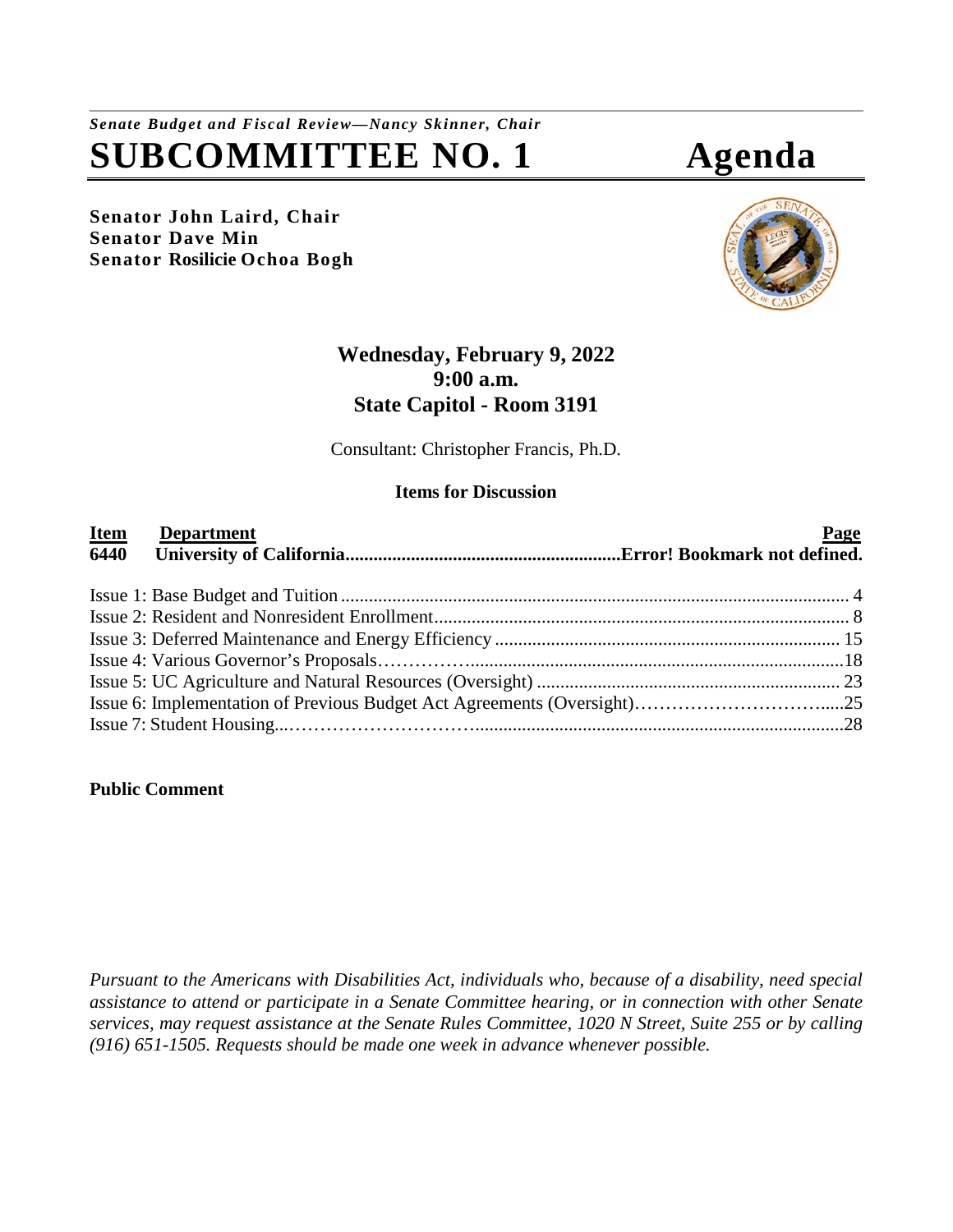# *Senate Budget and Fiscal Review—Nancy Skinner, Chair* **SUBCOMMITTEE NO. 1 Agenda**

**Senator John Laird, Chair Senator Dave Min Senator Rosilicie Ochoa Bogh**





## **Wednesday, February 9, 2022 9:00 a.m. State Capitol - Room 3191**

Consultant: Christopher Francis, Ph.D.

#### **Items for Discussion**

| <b>Item</b><br><b>Department</b><br>6440 | Page |
|------------------------------------------|------|
|                                          |      |
|                                          |      |
|                                          |      |
|                                          |      |
|                                          |      |
|                                          |      |
|                                          |      |

#### **Public Comment**

*Pursuant to the Americans with Disabilities Act, individuals who, because of a disability, need special assistance to attend or participate in a Senate Committee hearing, or in connection with other Senate services, may request assistance at the Senate Rules Committee, 1020 N Street, Suite 255 or by calling (916) 651-1505. Requests should be made one week in advance whenever possible.*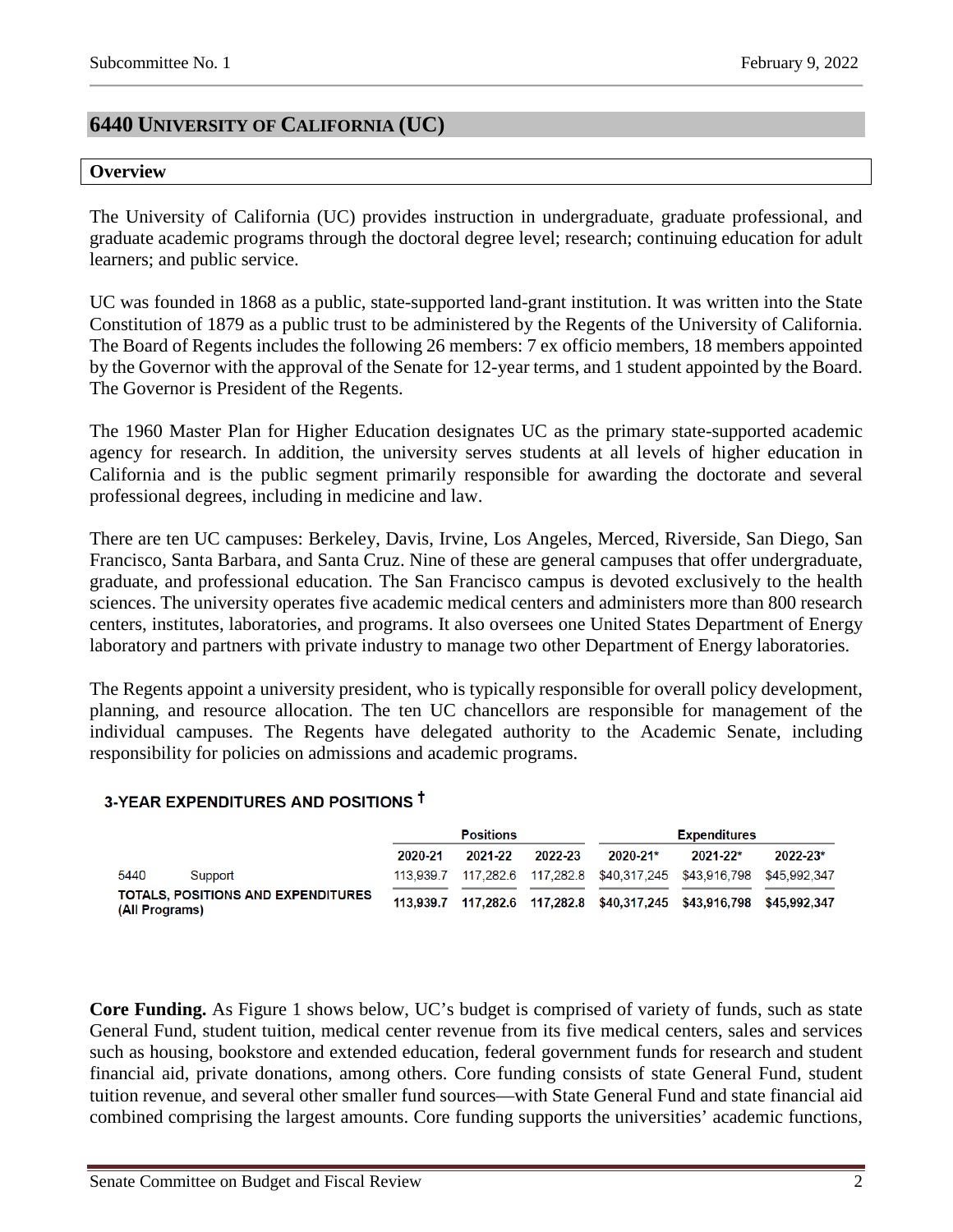## **6440 UNIVERSITY OF CALIFORNIA (UC)**

#### **Overview**

The University of California (UC) provides instruction in undergraduate, graduate professional, and graduate academic programs through the doctoral degree level; research; continuing education for adult learners; and public service.

UC was founded in 1868 as a public, state-supported land-grant institution. It was written into the State Constitution of 1879 as a public trust to be administered by the Regents of the University of California. The Board of Regents includes the following 26 members: 7 ex officio members, 18 members appointed by the Governor with the approval of the Senate for 12-year terms, and 1 student appointed by the Board. The Governor is President of the Regents.

The 1960 Master Plan for Higher Education designates UC as the primary state-supported academic agency for research. In addition, the university serves students at all levels of higher education in California and is the public segment primarily responsible for awarding the doctorate and several professional degrees, including in medicine and law.

There are ten UC campuses: Berkeley, Davis, Irvine, Los Angeles, Merced, Riverside, San Diego, San Francisco, Santa Barbara, and Santa Cruz. Nine of these are general campuses that offer undergraduate, graduate, and professional education. The San Francisco campus is devoted exclusively to the health sciences. The university operates five academic medical centers and administers more than 800 research centers, institutes, laboratories, and programs. It also oversees one United States Department of Energy laboratory and partners with private industry to manage two other Department of Energy laboratories.

The Regents appoint a university president, who is typically responsible for overall policy development, planning, and resource allocation. The ten UC chancellors are responsible for management of the individual campuses. The Regents have delegated authority to the Academic Senate, including responsibility for policies on admissions and academic programs.

#### 3-YEAR EXPENDITURES AND POSITIONS T

|                |                                           | <b>Positions</b> |         |         | <b>Expenditures</b> |                                                            |              |
|----------------|-------------------------------------------|------------------|---------|---------|---------------------|------------------------------------------------------------|--------------|
|                |                                           | 2020-21          | 2021-22 | 2022-23 | $2020 - 21*$        | $2021 - 22*$                                               | $2022 - 23*$ |
| 5440           | Support                                   | 113.939.7        |         |         |                     | 117,282.6 117,282.8 \$40,317,245 \$43,916,798 \$45,992,347 |              |
| (All Programs) | <b>TOTALS, POSITIONS AND EXPENDITURES</b> | 113.939.7        |         |         |                     |                                                            |              |

**Core Funding.** As Figure 1 shows below, UC's budget is comprised of variety of funds, such as state General Fund, student tuition, medical center revenue from its five medical centers, sales and services such as housing, bookstore and extended education, federal government funds for research and student financial aid, private donations, among others. Core funding consists of state General Fund, student tuition revenue, and several other smaller fund sources—with State General Fund and state financial aid combined comprising the largest amounts. Core funding supports the universities' academic functions,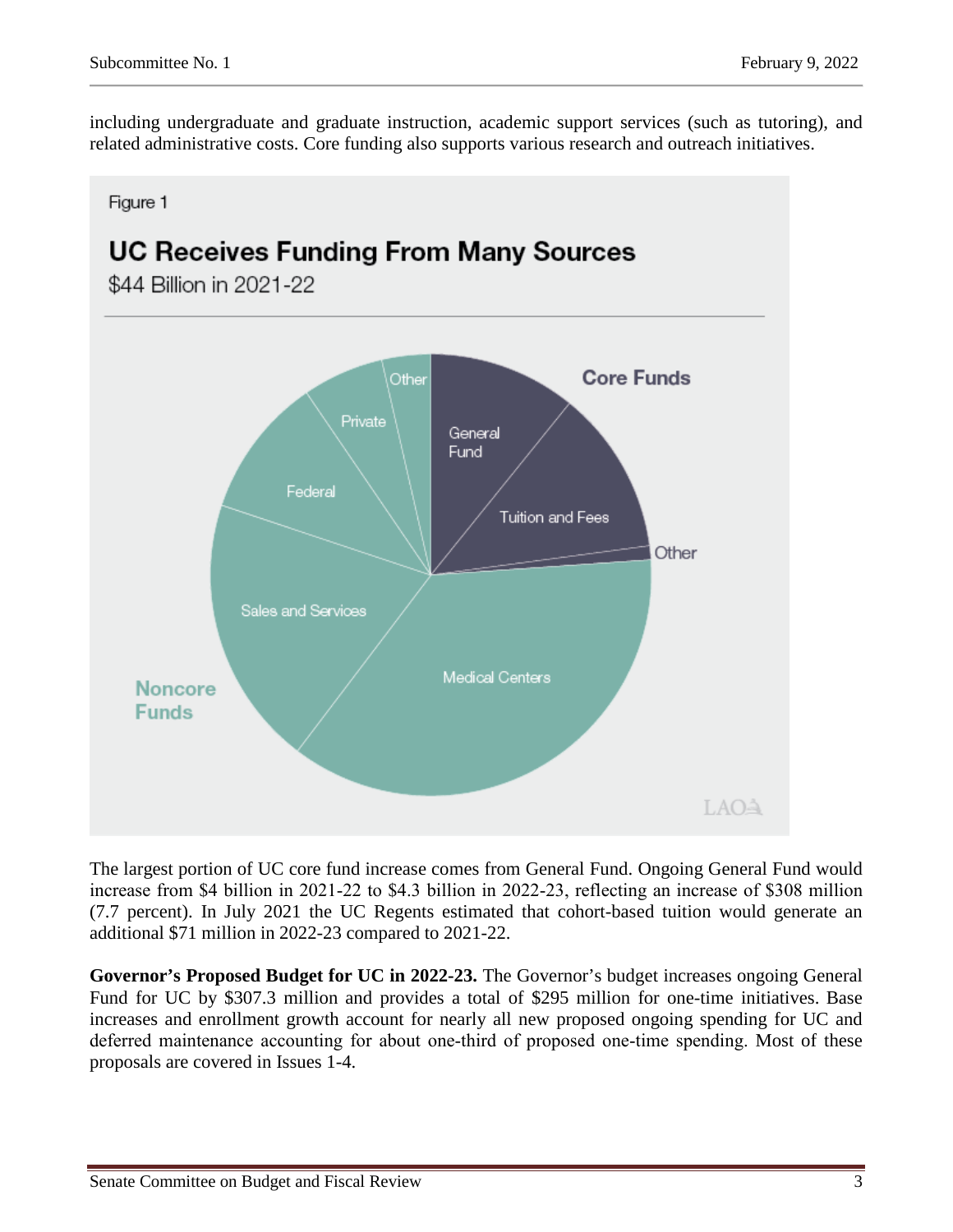including undergraduate and graduate instruction, academic support services (such as tutoring), and related administrative costs. Core funding also supports various research and outreach initiatives.

Figure 1 **UC Receives Funding From Many Sources** \$44 Billion in 2021-22 **Core Funds** Other Private General **Fund** Federal Tuition and Fees Other Sales and Services Medical Centers **Noncore Funds** LAOA

The largest portion of UC core fund increase comes from General Fund. Ongoing General Fund would increase from \$4 billion in 2021-22 to \$4.3 billion in 2022-23, reflecting an increase of \$308 million (7.7 percent). In July 2021 the UC Regents estimated that cohort-based tuition would generate an additional \$71 million in 2022-23 compared to 2021-22.

**Governor's Proposed Budget for UC in 2022-23.** The Governor's budget increases ongoing General Fund for UC by \$307.3 million and provides a total of \$295 million for one-time initiatives. Base increases and enrollment growth account for nearly all new proposed ongoing spending for UC and deferred maintenance accounting for about one-third of proposed one-time spending. Most of these proposals are covered in Issues 1-4.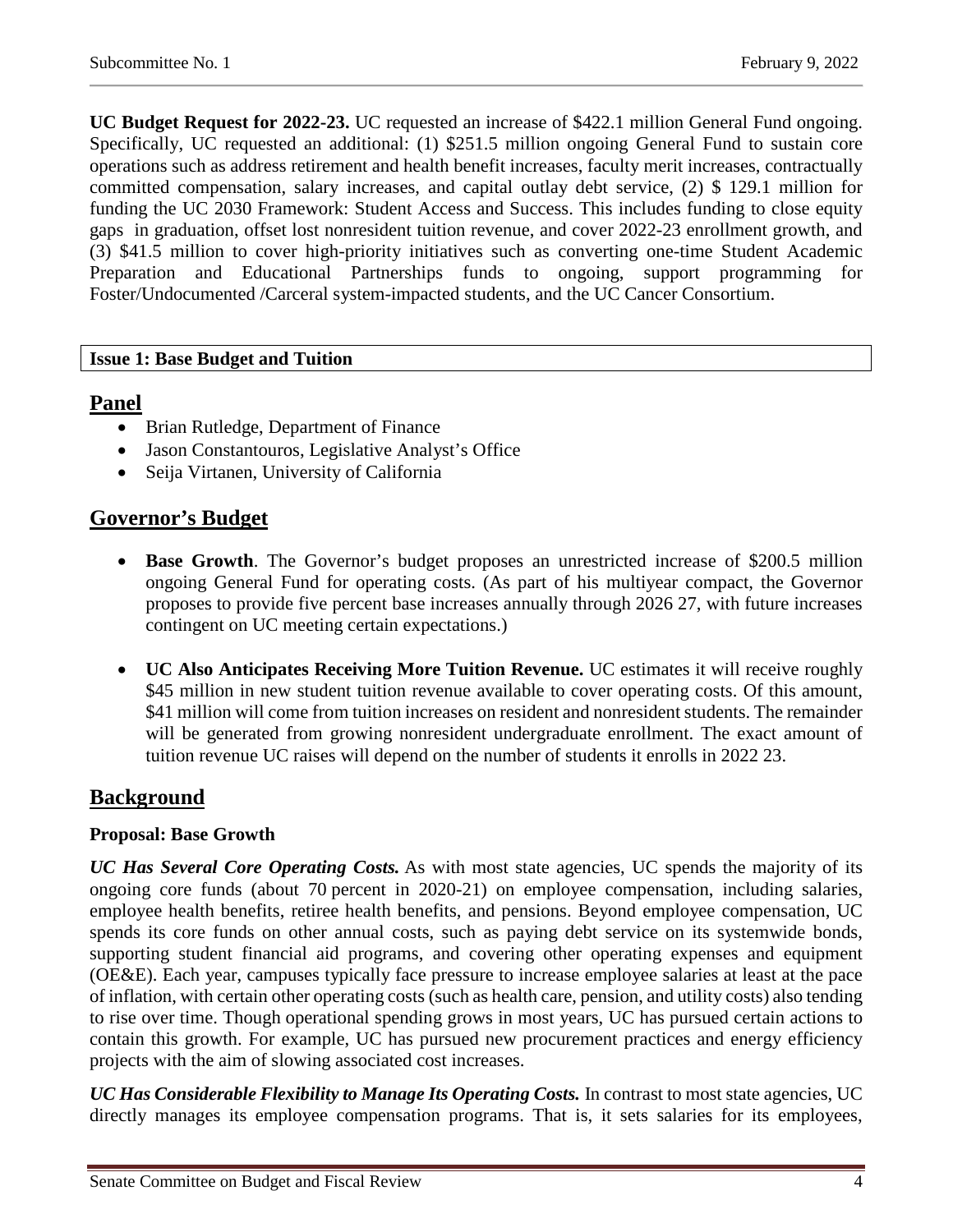**UC Budget Request for 2022-23.** UC requested an increase of \$422.1 million General Fund ongoing. Specifically, UC requested an additional: (1) \$251.5 million ongoing General Fund to sustain core operations such as address retirement and health benefit increases, faculty merit increases, contractually committed compensation, salary increases, and capital outlay debt service, (2) \$ 129.1 million for funding the UC 2030 Framework: Student Access and Success. This includes funding to close equity gaps in graduation, offset lost nonresident tuition revenue, and cover 2022-23 enrollment growth, and (3) \$41.5 million to cover high-priority initiatives such as converting one-time Student Academic Preparation and Educational Partnerships funds to ongoing, support programming for Foster/Undocumented /Carceral system-impacted students, and the UC Cancer Consortium.

#### **Issue 1: Base Budget and Tuition**

#### **Panel**

- Brian Rutledge, Department of Finance
- Jason Constantouros, Legislative Analyst's Office
- Seija Virtanen, University of California

## **Governor's Budget**

- **Base Growth**. The Governor's budget proposes an unrestricted increase of \$200.5 million ongoing General Fund for operating costs. (As part of his multiyear compact, the Governor proposes to provide five percent base increases annually through 2026 27, with future increases contingent on UC meeting certain expectations.)
- **UC Also Anticipates Receiving More Tuition Revenue.** UC estimates it will receive roughly \$45 million in new student tuition revenue available to cover operating costs. Of this amount, \$41 million will come from tuition increases on resident and nonresident students. The remainder will be generated from growing nonresident undergraduate enrollment. The exact amount of tuition revenue UC raises will depend on the number of students it enrolls in 2022 23.

## **Background**

#### **Proposal: Base Growth**

*UC Has Several Core Operating Costs.* As with most state agencies, UC spends the majority of its ongoing core funds (about 70 percent in 2020-21) on employee compensation, including salaries, employee health benefits, retiree health benefits, and pensions. Beyond employee compensation, UC spends its core funds on other annual costs, such as paying debt service on its systemwide bonds, supporting student financial aid programs, and covering other operating expenses and equipment (OE&E). Each year, campuses typically face pressure to increase employee salaries at least at the pace of inflation, with certain other operating costs (such as health care, pension, and utility costs) also tending to rise over time. Though operational spending grows in most years, UC has pursued certain actions to contain this growth. For example, UC has pursued new procurement practices and energy efficiency projects with the aim of slowing associated cost increases.

*UC Has Considerable Flexibility to Manage Its Operating Costs.* In contrast to most state agencies, UC directly manages its employee compensation programs. That is, it sets salaries for its employees,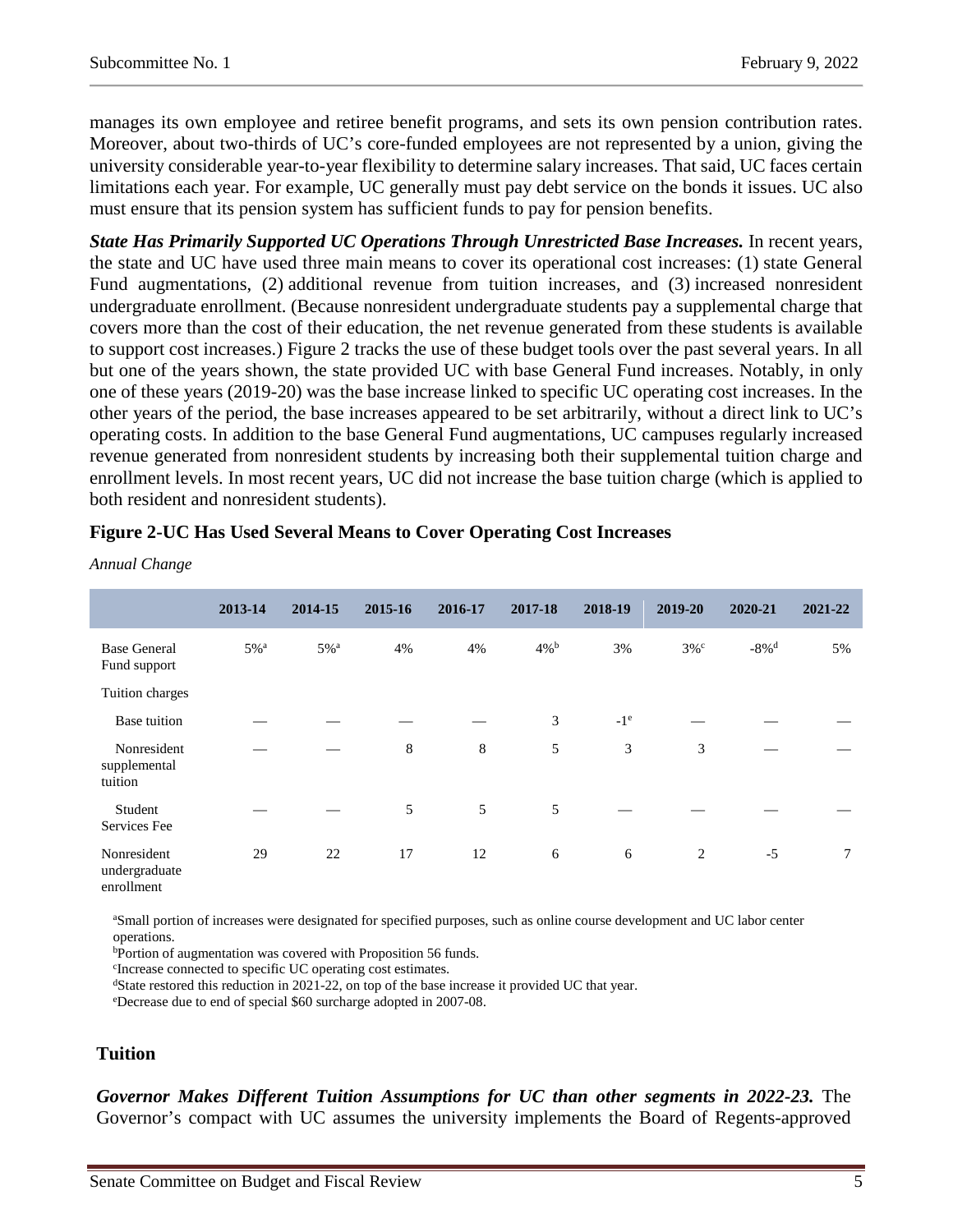manages its own employee and retiree benefit programs, and sets its own pension contribution rates. Moreover, about two-thirds of UC's core-funded employees are not represented by a union, giving the university considerable year-to-year flexibility to determine salary increases. That said, UC faces certain limitations each year. For example, UC generally must pay debt service on the bonds it issues. UC also must ensure that its pension system has sufficient funds to pay for pension benefits.

*State Has Primarily Supported UC Operations Through Unrestricted Base Increases.* In recent years, the state and UC have used three main means to cover its operational cost increases: (1) state General Fund augmentations, (2) additional revenue from tuition increases, and (3) increased nonresident undergraduate enrollment. (Because nonresident undergraduate students pay a supplemental charge that covers more than the cost of their education, the net revenue generated from these students is available to support cost increases.) Figure 2 tracks the use of these budget tools over the past several years. In all but one of the years shown, the state provided UC with base General Fund increases. Notably, in only one of these years (2019-20) was the base increase linked to specific UC operating cost increases. In the other years of the period, the base increases appeared to be set arbitrarily, without a direct link to UC's operating costs. In addition to the base General Fund augmentations, UC campuses regularly increased revenue generated from nonresident students by increasing both their supplemental tuition charge and enrollment levels. In most recent years, UC did not increase the base tuition charge (which is applied to both resident and nonresident students).

|                                            | 2013-14            | 2014-15            | 2015-16 | 2016-17 | 2017-18            | 2018-19 | 2019-20            | 2020-21             | 2021-22         |
|--------------------------------------------|--------------------|--------------------|---------|---------|--------------------|---------|--------------------|---------------------|-----------------|
| <b>Base General</b><br>Fund support        | $5\%$ <sup>a</sup> | $5\%$ <sup>a</sup> | 4%      | 4%      | $4\%$ <sup>b</sup> | 3%      | $3\%$ <sup>c</sup> | $-8\%$ <sup>d</sup> | 5%              |
| Tuition charges                            |                    |                    |         |         |                    |         |                    |                     |                 |
| Base tuition                               |                    |                    |         |         | 3                  | $-1^e$  |                    |                     |                 |
| Nonresident<br>supplemental<br>tuition     |                    |                    | 8       | 8       | 5                  | 3       | 3                  |                     |                 |
| Student<br>Services Fee                    |                    |                    | 5       | 5       | 5                  |         |                    |                     |                 |
| Nonresident<br>undergraduate<br>enrollment | 29                 | 22                 | 17      | 12      | 6                  | 6       | 2                  | $-5$                | $7\phantom{.0}$ |

#### **Figure 2-UC Has Used Several Means to Cover Operating Cost Increases**

a Small portion of increases were designated for specified purposes, such as online course development and UC labor center operations.

b Portion of augmentation was covered with Proposition 56 funds.

c Increase connected to specific UC operating cost estimates.

 $d$ State restored this reduction in 2021-22, on top of the base increase it provided UC that year.

e Decrease due to end of special \$60 surcharge adopted in 2007-08.

#### **Tuition**

*Annual Change*

*Governor Makes Different Tuition Assumptions for UC than other segments in 2022-23.* The Governor's compact with UC assumes the university implements the Board of Regents-approved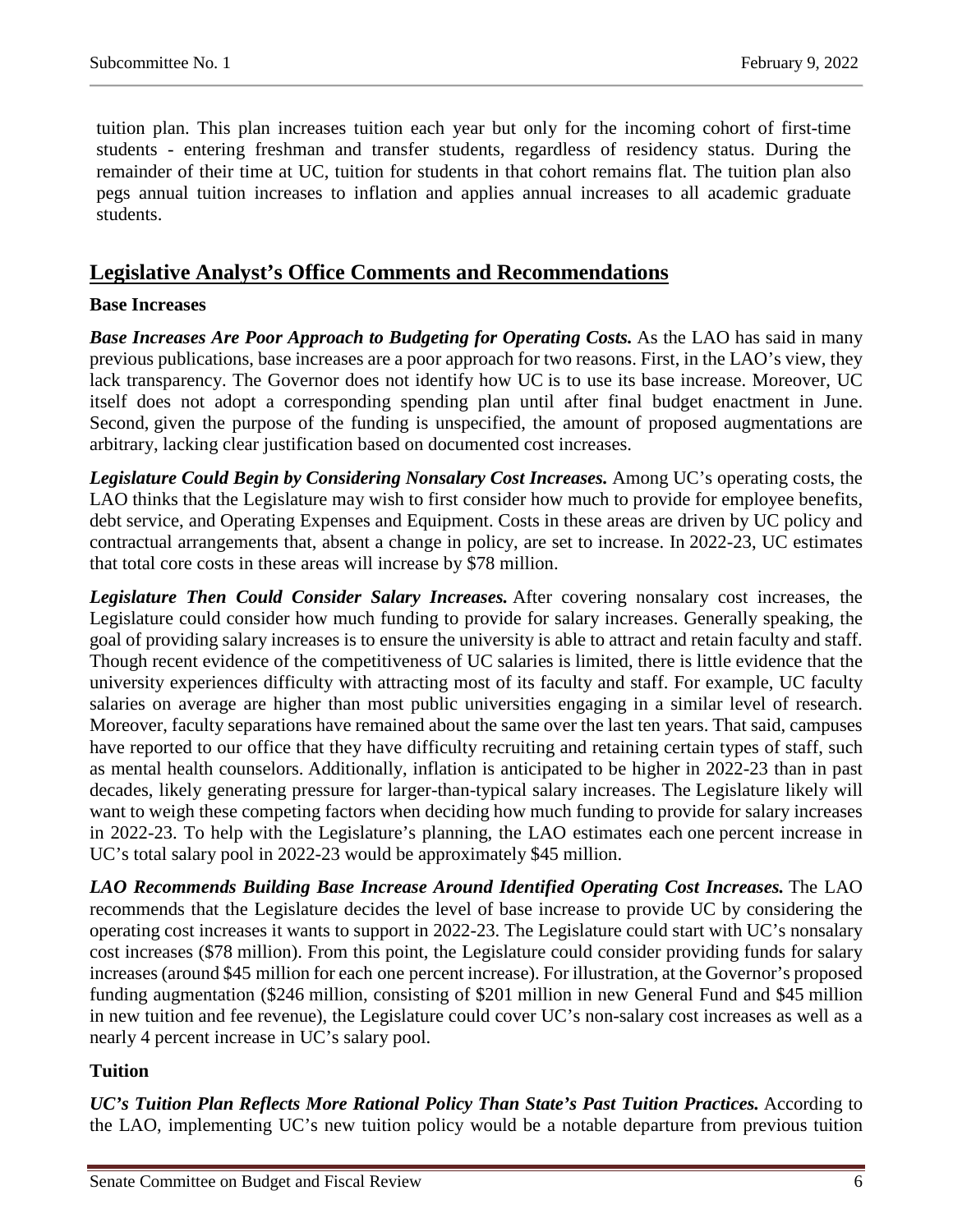tuition plan. This plan increases tuition each year but only for the incoming cohort of first-time students - entering freshman and transfer students, regardless of residency status. During the remainder of their time at UC, tuition for students in that cohort remains flat. The tuition plan also pegs annual tuition increases to inflation and applies annual increases to all academic graduate students.

## **Legislative Analyst's Office Comments and Recommendations**

#### **Base Increases**

*Base Increases Are Poor Approach to Budgeting for Operating Costs.* As the LAO has said in many previous publications, base increases are a poor approach for two reasons. First, in the LAO's view, they lack transparency. The Governor does not identify how UC is to use its base increase. Moreover, UC itself does not adopt a corresponding spending plan until after final budget enactment in June. Second, given the purpose of the funding is unspecified, the amount of proposed augmentations are arbitrary, lacking clear justification based on documented cost increases.

*Legislature Could Begin by Considering Nonsalary Cost Increases.* Among UC's operating costs, the LAO thinks that the Legislature may wish to first consider how much to provide for employee benefits, debt service, and Operating Expenses and Equipment. Costs in these areas are driven by UC policy and contractual arrangements that, absent a change in policy, are set to increase. In 2022-23, UC estimates that total core costs in these areas will increase by \$78 million.

*Legislature Then Could Consider Salary Increases.* After covering nonsalary cost increases, the Legislature could consider how much funding to provide for salary increases. Generally speaking, the goal of providing salary increases is to ensure the university is able to attract and retain faculty and staff. Though recent evidence of the competitiveness of UC salaries is limited, there is little evidence that the university experiences difficulty with attracting most of its faculty and staff. For example, UC faculty salaries on average are higher than most public universities engaging in a similar level of research. Moreover, faculty separations have remained about the same over the last ten years. That said, campuses have reported to our office that they have difficulty recruiting and retaining certain types of staff, such as mental health counselors. Additionally, inflation is anticipated to be higher in 2022-23 than in past decades, likely generating pressure for larger-than-typical salary increases. The Legislature likely will want to weigh these competing factors when deciding how much funding to provide for salary increases in 2022-23. To help with the Legislature's planning, the LAO estimates each one percent increase in UC's total salary pool in 2022-23 would be approximately \$45 million.

*LAO Recommends Building Base Increase Around Identified Operating Cost Increases.* The LAO recommends that the Legislature decides the level of base increase to provide UC by considering the operating cost increases it wants to support in 2022-23. The Legislature could start with UC's nonsalary cost increases (\$78 million). From this point, the Legislature could consider providing funds for salary increases (around \$45 million for each one percent increase). For illustration, at the Governor's proposed funding augmentation (\$246 million, consisting of \$201 million in new General Fund and \$45 million in new tuition and fee revenue), the Legislature could cover UC's non-salary cost increases as well as a nearly 4 percent increase in UC's salary pool.

### **Tuition**

*UC's Tuition Plan Reflects More Rational Policy Than State's Past Tuition Practices.* According to the LAO, implementing UC's new tuition policy would be a notable departure from previous tuition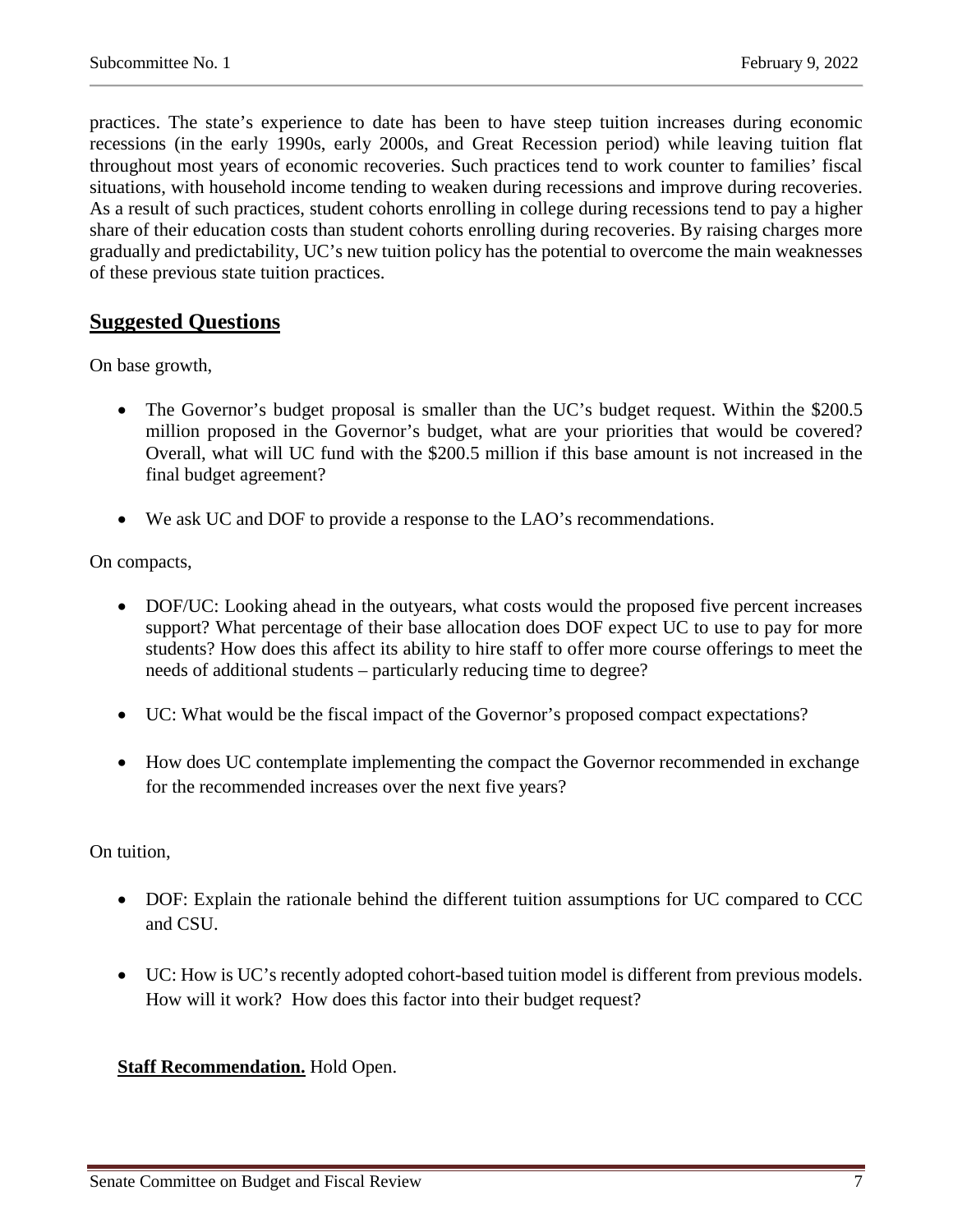practices. The state's experience to date has been to have steep tuition increases during economic recessions (in the early 1990s, early 2000s, and Great Recession period) while leaving tuition flat throughout most years of economic recoveries. Such practices tend to work counter to families' fiscal situations, with household income tending to weaken during recessions and improve during recoveries. As a result of such practices, student cohorts enrolling in college during recessions tend to pay a higher share of their education costs than student cohorts enrolling during recoveries. By raising charges more gradually and predictability, UC's new tuition policy has the potential to overcome the main weaknesses of these previous state tuition practices.

## **Suggested Questions**

On base growth,

- The Governor's budget proposal is smaller than the UC's budget request. Within the \$200.5 million proposed in the Governor's budget, what are your priorities that would be covered? Overall, what will UC fund with the \$200.5 million if this base amount is not increased in the final budget agreement?
- We ask UC and DOF to provide a response to the LAO's recommendations.

On compacts,

- DOF/UC: Looking ahead in the outyears, what costs would the proposed five percent increases support? What percentage of their base allocation does DOF expect UC to use to pay for more students? How does this affect its ability to hire staff to offer more course offerings to meet the needs of additional students – particularly reducing time to degree?
- UC: What would be the fiscal impact of the Governor's proposed compact expectations?
- How does UC contemplate implementing the compact the Governor recommended in exchange for the recommended increases over the next five years?

On tuition,

- DOF: Explain the rationale behind the different tuition assumptions for UC compared to CCC and CSU.
- UC: How is UC's recently adopted cohort-based tuition model is different from previous models. How will it work? How does this factor into their budget request?

#### **Staff Recommendation.** Hold Open.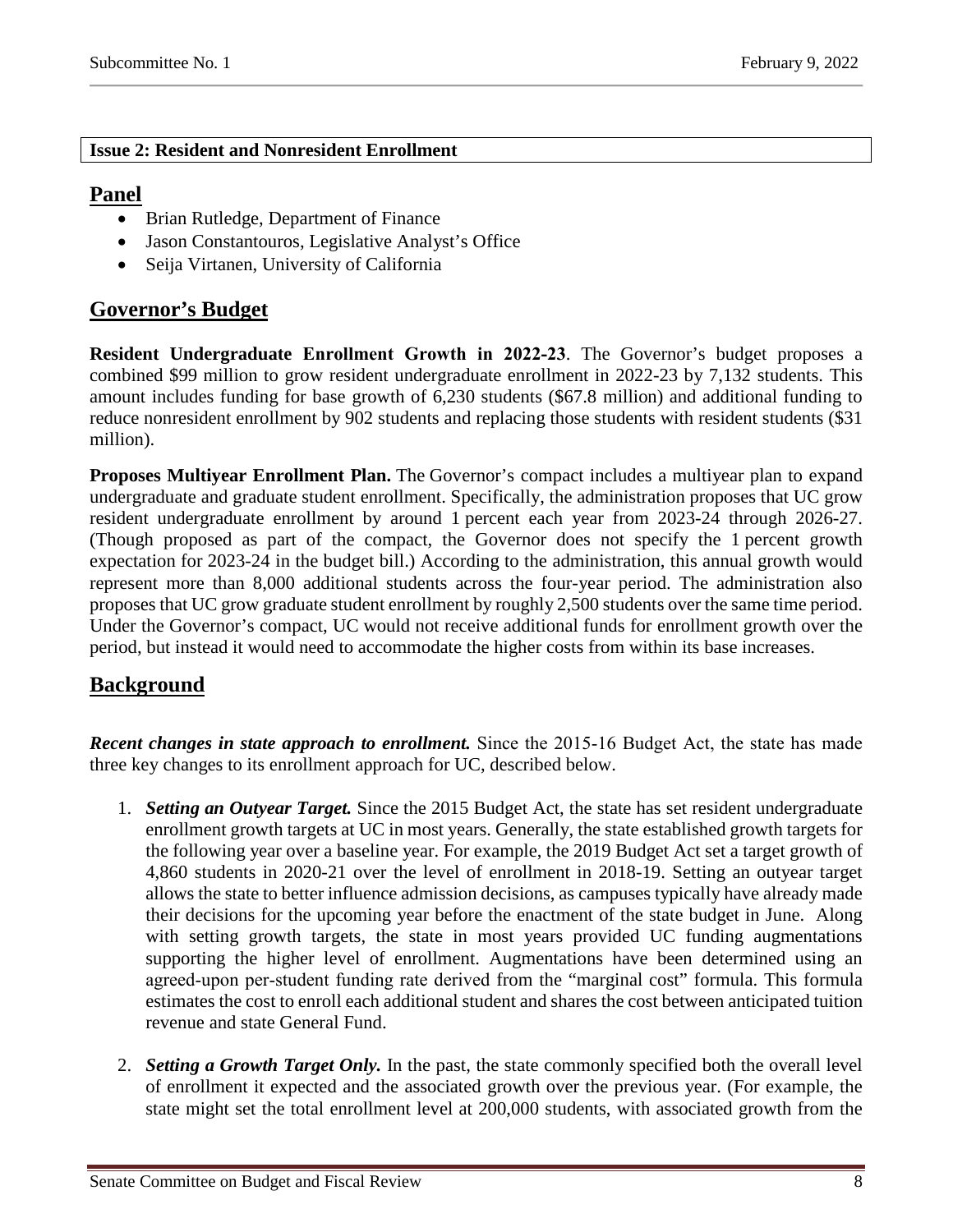#### **Issue 2: Resident and Nonresident Enrollment**

## **Panel**

- Brian Rutledge, Department of Finance
- Jason Constantouros, Legislative Analyst's Office
- Seija Virtanen, University of California

## **Governor's Budget**

**Resident Undergraduate Enrollment Growth in 2022‑23**. The Governor's budget proposes a combined \$99 million to grow resident undergraduate enrollment in 2022-23 by 7,132 students. This amount includes funding for base growth of 6,230 students (\$67.8 million) and additional funding to reduce nonresident enrollment by 902 students and replacing those students with resident students (\$31 million).

**Proposes Multiyear Enrollment Plan.** The Governor's compact includes a multiyear plan to expand undergraduate and graduate student enrollment. Specifically, the administration proposes that UC grow resident undergraduate enrollment by around 1 percent each year from 2023-24 through 2026-27. (Though proposed as part of the compact, the Governor does not specify the 1 percent growth expectation for 2023-24 in the budget bill.) According to the administration, this annual growth would represent more than 8,000 additional students across the four-year period. The administration also proposes that UC grow graduate student enrollment by roughly 2,500 students over the same time period. Under the Governor's compact, UC would not receive additional funds for enrollment growth over the period, but instead it would need to accommodate the higher costs from within its base increases.

## **Background**

**Recent changes in state approach to enrollment.** Since the 2015-16 Budget Act, the state has made three key changes to its enrollment approach for UC, described below.

- 1. *Setting an Outyear Target.* Since the 2015 Budget Act, the state has set resident undergraduate enrollment growth targets at UC in most years. Generally, the state established growth targets for the following year over a baseline year. For example, the 2019 Budget Act set a target growth of 4,860 students in 2020-21 over the level of enrollment in 2018-19. Setting an outyear target allows the state to better influence admission decisions, as campuses typically have already made their decisions for the upcoming year before the enactment of the state budget in June. Along with setting growth targets, the state in most years provided UC funding augmentations supporting the higher level of enrollment. Augmentations have been determined using an agreed-upon per-student funding rate derived from the "marginal cost" formula. This formula estimates the cost to enroll each additional student and shares the cost between anticipated tuition revenue and state General Fund.
- 2. *Setting a Growth Target Only.* In the past, the state commonly specified both the overall level of enrollment it expected and the associated growth over the previous year. (For example, the state might set the total enrollment level at 200,000 students, with associated growth from the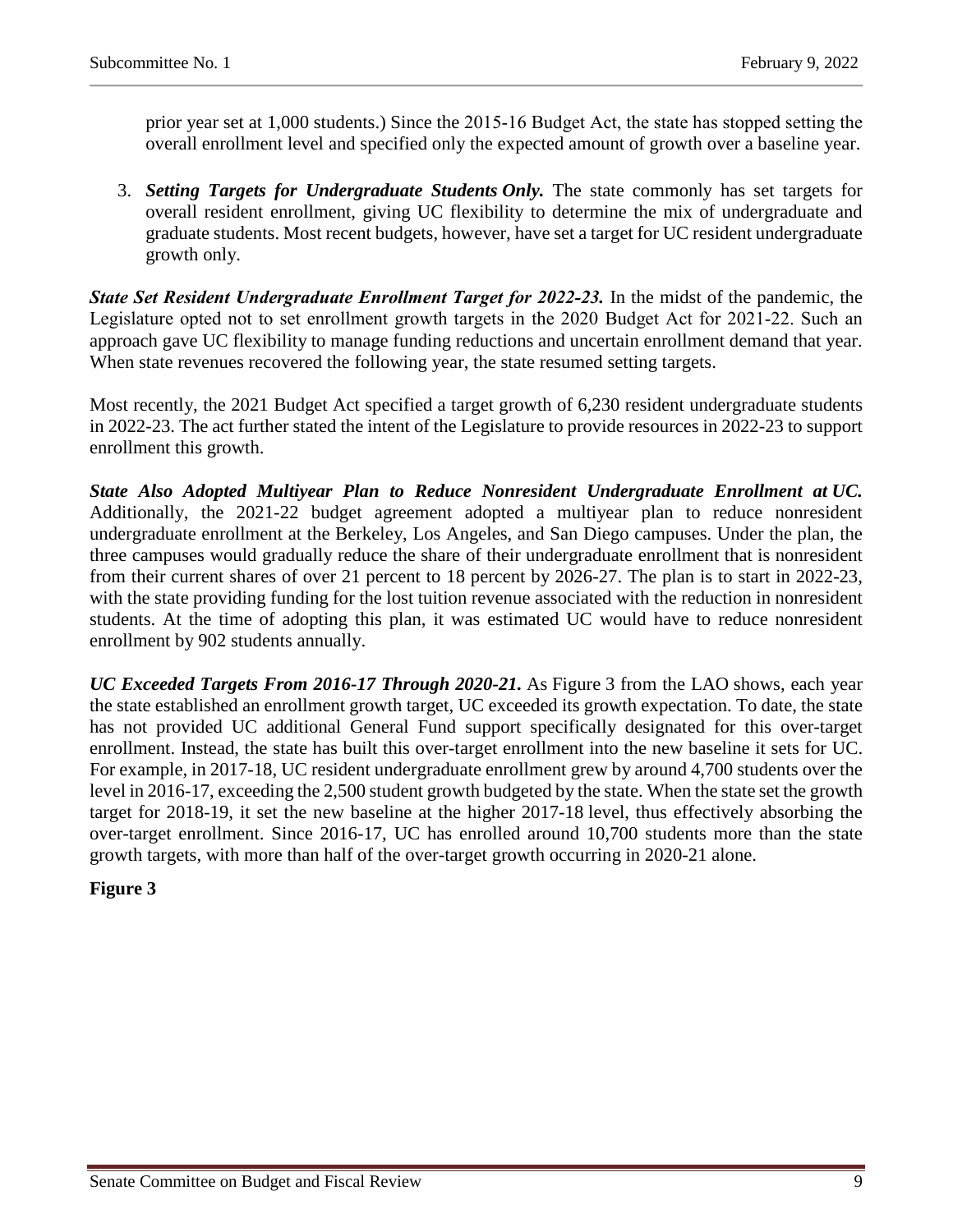prior year set at 1,000 students.) Since the 2015‑16 Budget Act, the state has stopped setting the overall enrollment level and specified only the expected amount of growth over a baseline year.

3. *Setting Targets for Undergraduate Students Only.* The state commonly has set targets for overall resident enrollment, giving UC flexibility to determine the mix of undergraduate and graduate students. Most recent budgets, however, have set a target for UC resident undergraduate growth only.

*State Set Resident Undergraduate Enrollment Target for 2022–23.* **In the midst of the pandemic, the** Legislature opted not to set enrollment growth targets in the 2020 Budget Act for 2021-22. Such an approach gave UC flexibility to manage funding reductions and uncertain enrollment demand that year. When state revenues recovered the following year, the state resumed setting targets.

Most recently, the 2021 Budget Act specified a target growth of 6,230 resident undergraduate students in 2022-23. The act further stated the intent of the Legislature to provide resources in 2022-23 to support enrollment this growth.

*State Also Adopted Multiyear Plan to Reduce Nonresident Undergraduate Enrollment at UC.*  Additionally, the 2021-22 budget agreement adopted a multiyear plan to reduce nonresident undergraduate enrollment at the Berkeley, Los Angeles, and San Diego campuses. Under the plan, the three campuses would gradually reduce the share of their undergraduate enrollment that is nonresident from their current shares of over 21 percent to 18 percent by 2026-27. The plan is to start in 2022-23, with the state providing funding for the lost tuition revenue associated with the reduction in nonresident students. At the time of adopting this plan, it was estimated UC would have to reduce nonresident enrollment by 902 students annually.

*UC Exceeded Targets From 2016-17 Through 2020-21.* As Figure 3 from the LAO shows, each year the state established an enrollment growth target, UC exceeded its growth expectation. To date, the state has not provided UC additional General Fund support specifically designated for this over-target enrollment. Instead, the state has built this over-target enrollment into the new baseline it sets for UC. For example, in 2017-18, UC resident undergraduate enrollment grew by around 4,700 students over the level in 2016-17, exceeding the 2,500 student growth budgeted by the state. When the state set the growth target for 2018-19, it set the new baseline at the higher 2017-18 level, thus effectively absorbing the over-target enrollment. Since 2016-17, UC has enrolled around 10,700 students more than the state growth targets, with more than half of the over-target growth occurring in 2020-21 alone.

#### **Figure 3**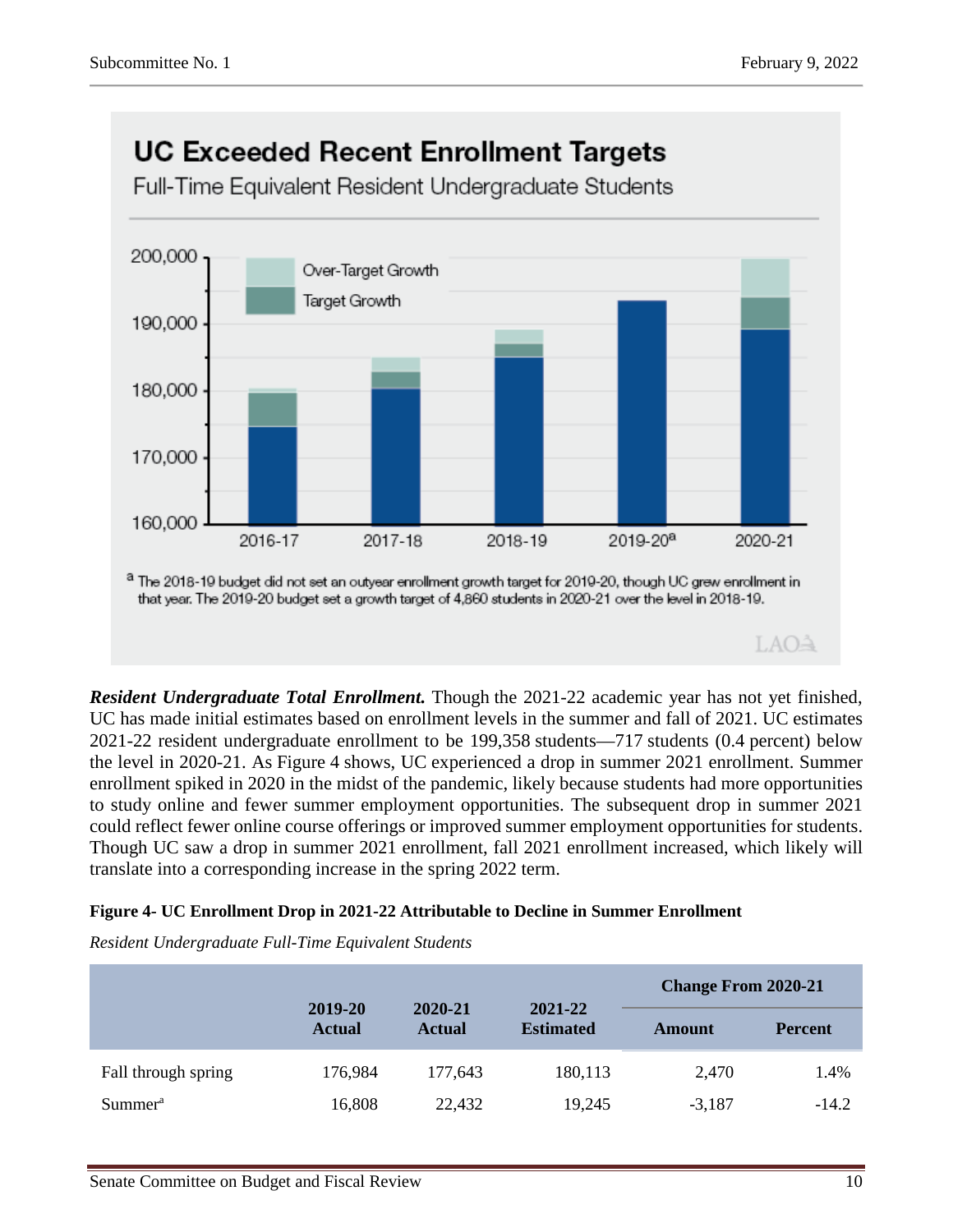

*Resident Undergraduate Total Enrollment.* Though the 2021-22 academic year has not yet finished, UC has made initial estimates based on enrollment levels in the summer and fall of 2021. UC estimates 2021-22 resident undergraduate enrollment to be 199,358 students—717 students (0.4 percent) below the level in 2020-21. As Figure 4 shows, UC experienced a drop in summer 2021 enrollment. Summer enrollment spiked in 2020 in the midst of the pandemic, likely because students had more opportunities to study online and fewer summer employment opportunities. The subsequent drop in summer 2021 could reflect fewer online course offerings or improved summer employment opportunities for students. Though UC saw a drop in summer 2021 enrollment, fall 2021 enrollment increased, which likely will translate into a corresponding increase in the spring 2022 term.

#### **Figure 4- UC Enrollment Drop in 2021-22 Attributable to Decline in Summer Enrollment**

*Resident Undergraduate Full-Time Equivalent Students*

|                     | 2019-20       |                                                         |         | <b>Change From 2020-21</b> |                |  |
|---------------------|---------------|---------------------------------------------------------|---------|----------------------------|----------------|--|
|                     | <b>Actual</b> | 2021-22<br>2020-21<br><b>Estimated</b><br><b>Actual</b> |         | Amount                     | <b>Percent</b> |  |
| Fall through spring | 176,984       | 177,643                                                 | 180,113 | 2,470                      | 1.4%           |  |
| Summer <sup>a</sup> | 16,808        | 22,432                                                  | 19,245  | $-3,187$                   | $-14.2$        |  |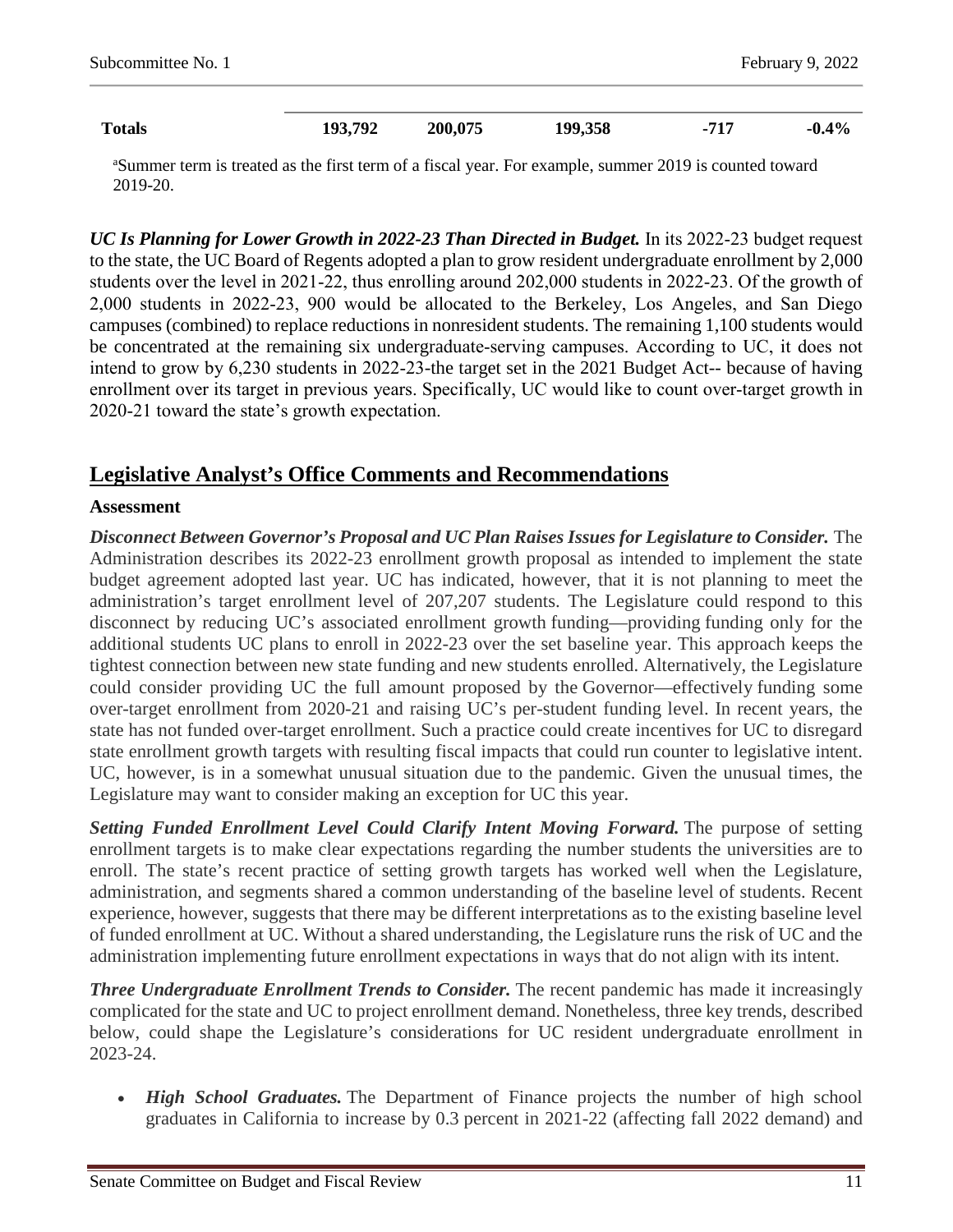| <b>Totals</b><br>. | 193 792 | 200,075<br>. . | 199,358<br>$\sim$<br>___ | 717 | $\mathbf{1}_{6}$<br>-0 |
|--------------------|---------|----------------|--------------------------|-----|------------------------|

<sup>a</sup>Summer term is treated as the first term of a fiscal year. For example, summer 2019 is counted toward 2019-20.

*UC Is Planning for Lower Growth in 2022-23 Than Directed in Budget.* In its 2022‑23 budget request to the state, the UC Board of Regents adopted a plan to grow resident undergraduate enrollment by 2,000 students over the level in 2021-22, thus enrolling around 202,000 students in 2022-23. Of the growth of 2,000 students in 2022‑23, 900 would be allocated to the Berkeley, Los Angeles, and San Diego campuses (combined) to replace reductions in nonresident students. The remaining 1,100 students would be concentrated at the remaining six undergraduate-serving campuses. According to UC, it does not intend to grow by 6,230 students in 2022‑23-the target set in the 2021 Budget Act-- because of having enrollment over its target in previous years. Specifically, UC would like to count over-target growth in 2020‑21 toward the state's growth expectation.

### **Legislative Analyst's Office Comments and Recommendations**

#### **Assessment**

*Disconnect Between Governor's Proposal and UC Plan Raises Issues for Legislature to Consider.* The Administration describes its 2022-23 enrollment growth proposal as intended to implement the state budget agreement adopted last year. UC has indicated, however, that it is not planning to meet the administration's target enrollment level of 207,207 students. The Legislature could respond to this disconnect by reducing UC's associated enrollment growth funding—providing funding only for the additional students UC plans to enroll in 2022-23 over the set baseline year. This approach keeps the tightest connection between new state funding and new students enrolled. Alternatively, the Legislature could consider providing UC the full amount proposed by the Governor—effectively funding some over-target enrollment from 2020-21 and raising UC's per-student funding level. In recent years, the state has not funded over-target enrollment. Such a practice could create incentives for UC to disregard state enrollment growth targets with resulting fiscal impacts that could run counter to legislative intent. UC, however, is in a somewhat unusual situation due to the pandemic. Given the unusual times, the Legislature may want to consider making an exception for UC this year.

*Setting Funded Enrollment Level Could Clarify Intent Moving Forward.* The purpose of setting enrollment targets is to make clear expectations regarding the number students the universities are to enroll. The state's recent practice of setting growth targets has worked well when the Legislature, administration, and segments shared a common understanding of the baseline level of students. Recent experience, however, suggests that there may be different interpretations as to the existing baseline level of funded enrollment at UC. Without a shared understanding, the Legislature runs the risk of UC and the administration implementing future enrollment expectations in ways that do not align with its intent.

*Three Undergraduate Enrollment Trends to Consider.* The recent pandemic has made it increasingly complicated for the state and UC to project enrollment demand. Nonetheless, three key trends, described below, could shape the Legislature's considerations for UC resident undergraduate enrollment in 2023-24.

• *High School Graduates*. The Department of Finance projects the number of high school graduates in California to increase by 0.3 percent in 2021-22 (affecting fall 2022 demand) and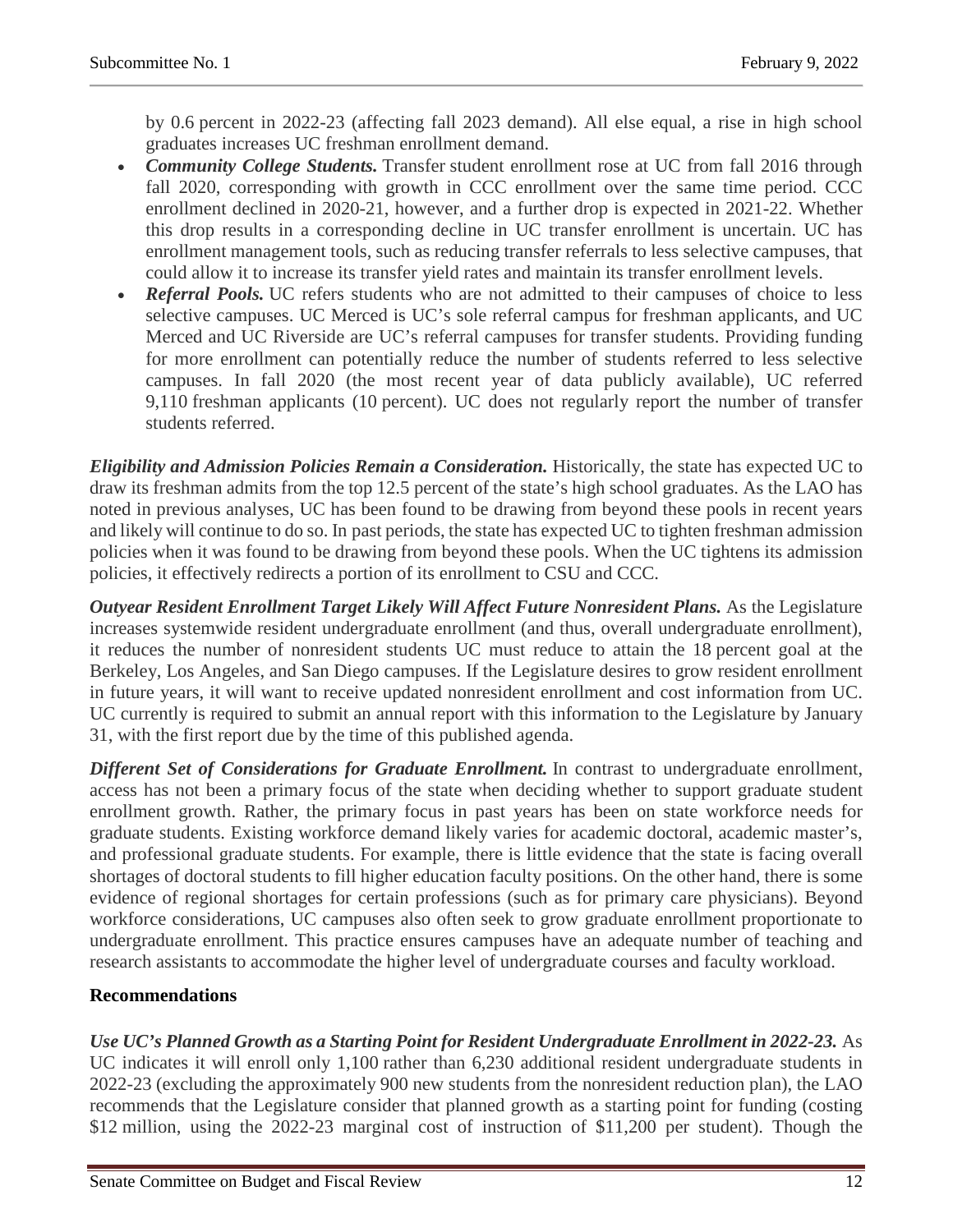by 0.6 percent in 2022-23 (affecting fall 2023 demand). All else equal, a rise in high school graduates increases UC freshman enrollment demand.

- *Community College Students*. Transfer student enrollment rose at UC from fall 2016 through fall 2020, corresponding with growth in CCC enrollment over the same time period. CCC enrollment declined in 2020-21, however, and a further drop is expected in 2021-22. Whether this drop results in a corresponding decline in UC transfer enrollment is uncertain. UC has enrollment management tools, such as reducing transfer referrals to less selective campuses, that could allow it to increase its transfer yield rates and maintain its transfer enrollment levels.
- *Referral Pools.* UC refers students who are not admitted to their campuses of choice to less selective campuses. UC Merced is UC's sole referral campus for freshman applicants, and UC Merced and UC Riverside are UC's referral campuses for transfer students. Providing funding for more enrollment can potentially reduce the number of students referred to less selective campuses. In fall 2020 (the most recent year of data publicly available), UC referred 9,110 freshman applicants (10 percent). UC does not regularly report the number of transfer students referred.

*Eligibility and Admission Policies Remain a Consideration.* Historically, the state has expected UC to draw its freshman admits from the top 12.5 percent of the state's high school graduates. As the LAO has noted in previous analyses, UC has been found to be drawing from beyond these pools in recent years and likely will continue to do so. In past periods, the state has expected UC to tighten freshman admission policies when it was found to be drawing from beyond these pools. When the UC tightens its admission policies, it effectively redirects a portion of its enrollment to CSU and CCC.

*Outyear Resident Enrollment Target Likely Will Affect Future Nonresident Plans.* As the Legislature increases systemwide resident undergraduate enrollment (and thus, overall undergraduate enrollment), it reduces the number of nonresident students UC must reduce to attain the 18 percent goal at the Berkeley, Los Angeles, and San Diego campuses. If the Legislature desires to grow resident enrollment in future years, it will want to receive updated nonresident enrollment and cost information from UC. UC currently is required to submit an annual report with this information to the Legislature by January 31, with the first report due by the time of this published agenda.

*Different Set of Considerations for Graduate Enrollment.* In contrast to undergraduate enrollment, access has not been a primary focus of the state when deciding whether to support graduate student enrollment growth. Rather, the primary focus in past years has been on state workforce needs for graduate students. Existing workforce demand likely varies for academic doctoral, academic master's, and professional graduate students. For example, there is little evidence that the state is facing overall shortages of doctoral students to fill higher education faculty positions. On the other hand, there is some evidence of regional shortages for certain professions (such as for primary care physicians). Beyond workforce considerations, UC campuses also often seek to grow graduate enrollment proportionate to undergraduate enrollment. This practice ensures campuses have an adequate number of teaching and research assistants to accommodate the higher level of undergraduate courses and faculty workload.

### **Recommendations**

*Use UC's Planned Growth as a Starting Point for Resident Undergraduate Enrollment in 2022-23.* As UC indicates it will enroll only 1,100 rather than 6,230 additional resident undergraduate students in 2022-23 (excluding the approximately 900 new students from the nonresident reduction plan), the LAO recommends that the Legislature consider that planned growth as a starting point for funding (costing \$12 million, using the 2022-23 marginal cost of instruction of \$11,200 per student). Though the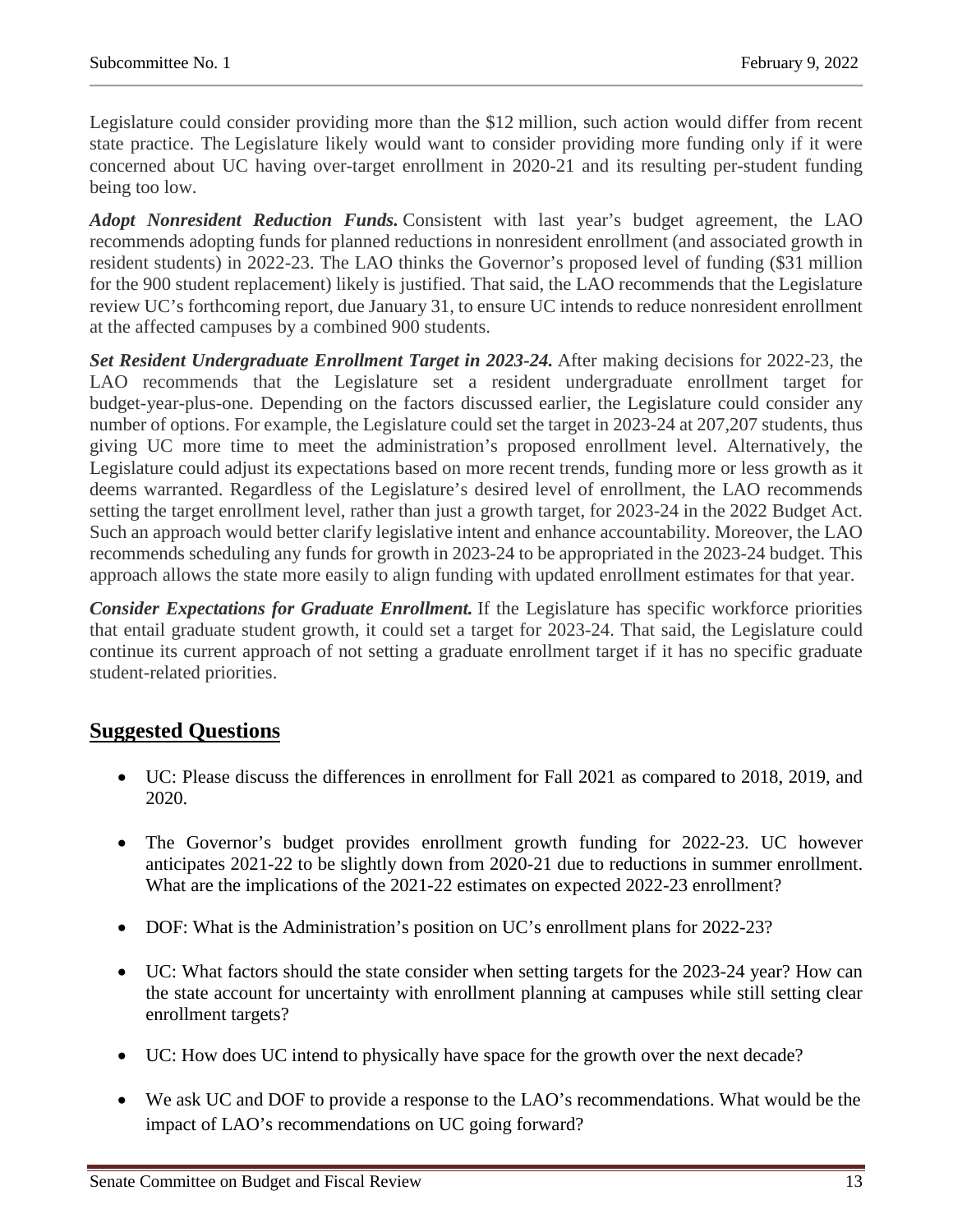Legislature could consider providing more than the \$12 million, such action would differ from recent state practice. The Legislature likely would want to consider providing more funding only if it were concerned about UC having over-target enrollment in 2020-21 and its resulting per-student funding being too low.

*Adopt Nonresident Reduction Funds.* Consistent with last year's budget agreement, the LAO recommends adopting funds for planned reductions in nonresident enrollment (and associated growth in resident students) in 2022-23. The LAO thinks the Governor's proposed level of funding (\$31 million for the 900 student replacement) likely is justified. That said, the LAO recommends that the Legislature review UC's forthcoming report, due January 31, to ensure UC intends to reduce nonresident enrollment at the affected campuses by a combined 900 students.

*Set Resident Undergraduate Enrollment Target in 2023-24.* After making decisions for 2022-23, the LAO recommends that the Legislature set a resident undergraduate enrollment target for budget-year-plus-one. Depending on the factors discussed earlier, the Legislature could consider any number of options. For example, the Legislature could set the target in 2023-24 at 207,207 students, thus giving UC more time to meet the administration's proposed enrollment level. Alternatively, the Legislature could adjust its expectations based on more recent trends, funding more or less growth as it deems warranted. Regardless of the Legislature's desired level of enrollment, the LAO recommends setting the target enrollment level, rather than just a growth target, for 2023-24 in the 2022 Budget Act. Such an approach would better clarify legislative intent and enhance accountability. Moreover, the LAO recommends scheduling any funds for growth in 2023-24 to be appropriated in the 2023-24 budget. This approach allows the state more easily to align funding with updated enrollment estimates for that year.

*Consider Expectations for Graduate Enrollment.* If the Legislature has specific workforce priorities that entail graduate student growth, it could set a target for 2023-24. That said, the Legislature could continue its current approach of not setting a graduate enrollment target if it has no specific graduate student-related priorities.

## **Suggested Questions**

- UC: Please discuss the differences in enrollment for Fall 2021 as compared to 2018, 2019, and 2020.
- The Governor's budget provides enrollment growth funding for 2022-23. UC however anticipates 2021-22 to be slightly down from 2020-21 due to reductions in summer enrollment. What are the implications of the 2021-22 estimates on expected 2022-23 enrollment?
- DOF: What is the Administration's position on UC's enrollment plans for 2022-23?
- UC: What factors should the state consider when setting targets for the 2023-24 year? How can the state account for uncertainty with enrollment planning at campuses while still setting clear enrollment targets?
- UC: How does UC intend to physically have space for the growth over the next decade?
- We ask UC and DOF to provide a response to the LAO's recommendations. What would be the impact of LAO's recommendations on UC going forward?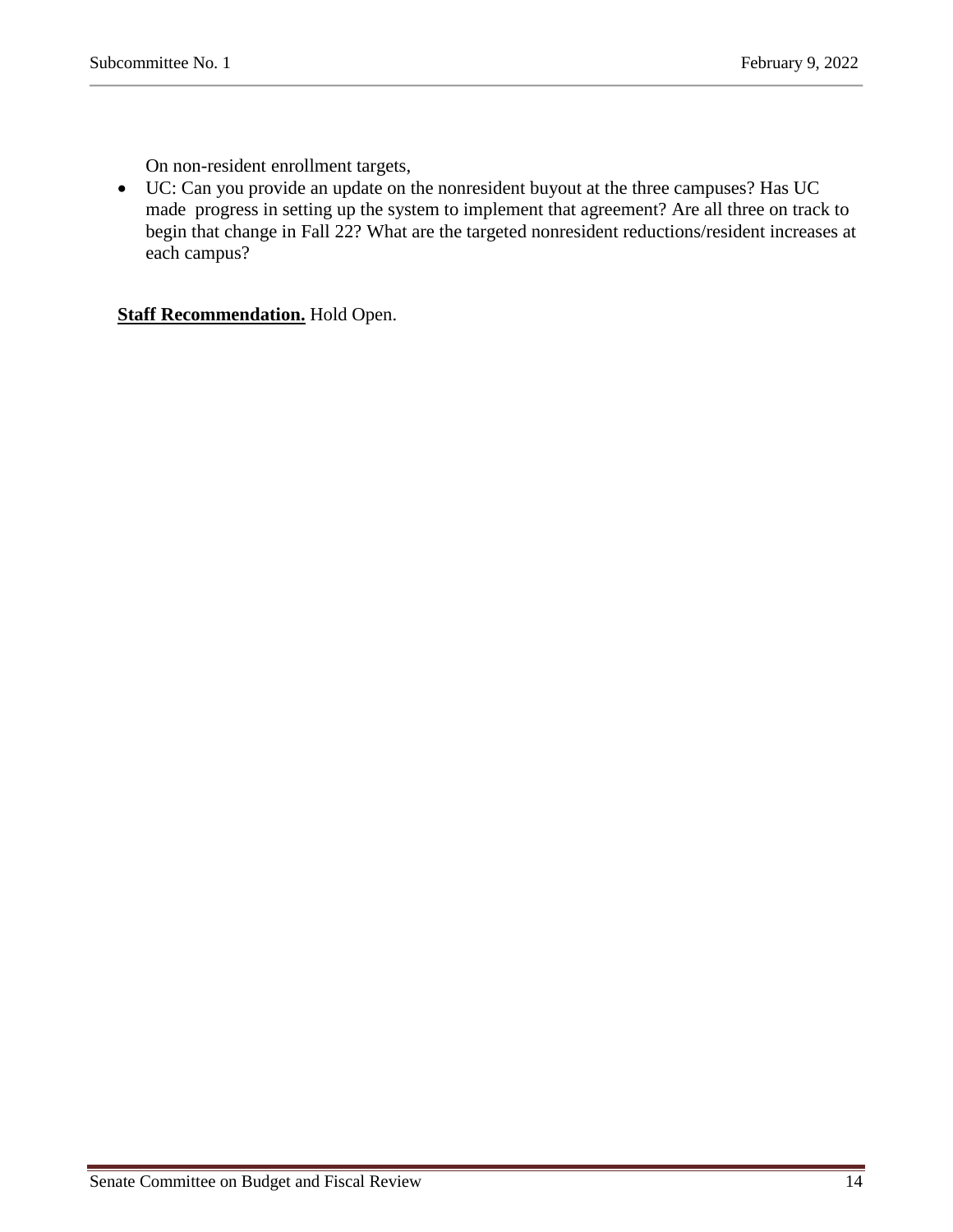On non-resident enrollment targets,

• UC: Can you provide an update on the nonresident buyout at the three campuses? Has UC made progress in setting up the system to implement that agreement? Are all three on track to begin that change in Fall 22? What are the targeted nonresident reductions/resident increases at each campus?

**Staff Recommendation.** Hold Open.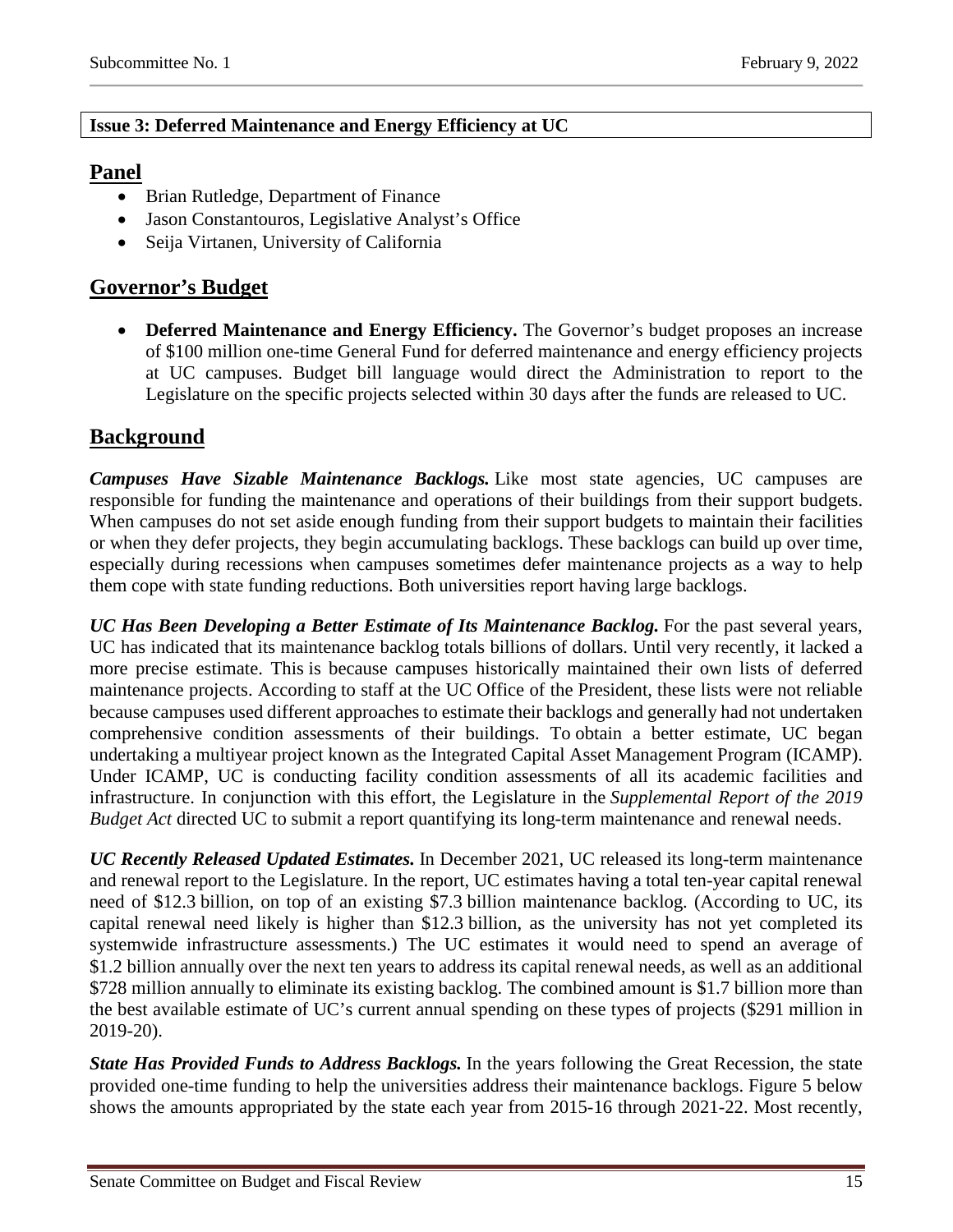### <span id="page-14-0"></span>**Issue 3: Deferred Maintenance and Energy Efficiency at UC**

## **Panel**

- Brian Rutledge, Department of Finance
- Jason Constantouros, Legislative Analyst's Office
- Seija Virtanen, University of California

## **Governor's Budget**

• **Deferred Maintenance and Energy Efficiency.** The Governor's budget proposes an increase of \$100 million one-time General Fund for deferred maintenance and energy efficiency projects at UC campuses. Budget bill language would direct the Administration to report to the Legislature on the specific projects selected within 30 days after the funds are released to UC.

## **Background**

*Campuses Have Sizable Maintenance Backlogs.* Like most state agencies, UC campuses are responsible for funding the maintenance and operations of their buildings from their support budgets. When campuses do not set aside enough funding from their support budgets to maintain their facilities or when they defer projects, they begin accumulating backlogs. These backlogs can build up over time, especially during recessions when campuses sometimes defer maintenance projects as a way to help them cope with state funding reductions. Both universities report having large backlogs.

*UC Has Been Developing a Better Estimate of Its Maintenance Backlog.* For the past several years, UC has indicated that its maintenance backlog totals billions of dollars. Until very recently, it lacked a more precise estimate. This is because campuses historically maintained their own lists of deferred maintenance projects. According to staff at the UC Office of the President, these lists were not reliable because campuses used different approaches to estimate their backlogs and generally had not undertaken comprehensive condition assessments of their buildings. To obtain a better estimate, UC began undertaking a multiyear project known as the Integrated Capital Asset Management Program (ICAMP). Under ICAMP, UC is conducting facility condition assessments of all its academic facilities and infrastructure. In conjunction with this effort, the Legislature in the *Supplemental Report of the 2019 Budget Act* directed UC to submit a report quantifying its long-term maintenance and renewal needs.

*UC Recently Released Updated Estimates.* In December 2021, UC released its long-term maintenance and renewal report to the Legislature. In the report, UC estimates having a total ten-year capital renewal need of \$12.3 billion, on top of an existing \$7.3 billion maintenance backlog. (According to UC, its capital renewal need likely is higher than \$12.3 billion, as the university has not yet completed its systemwide infrastructure assessments.) The UC estimates it would need to spend an average of \$1.2 billion annually over the next ten years to address its capital renewal needs, as well as an additional \$728 million annually to eliminate its existing backlog. The combined amount is \$1.7 billion more than the best available estimate of UC's current annual spending on these types of projects (\$291 million in 2019-20).

*State Has Provided Funds to Address Backlogs.* In the years following the Great Recession, the state provided one-time funding to help the universities address their maintenance backlogs. Figure 5 below shows the amounts appropriated by the state each year from 2015-16 through 2021-22. Most recently,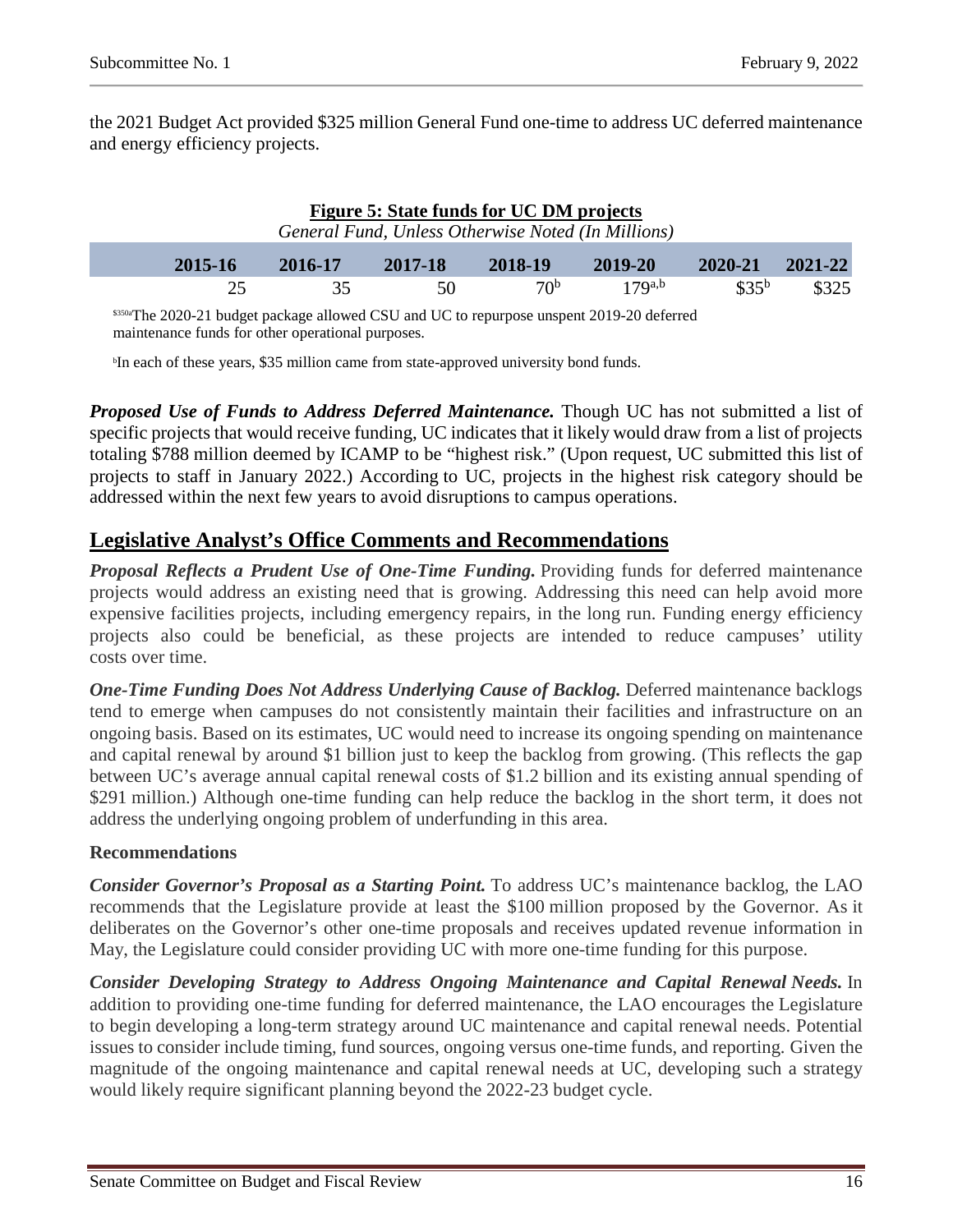the 2021 Budget Act provided \$325 million General Fund one-time to address UC deferred maintenance and energy efficiency projects.

| Figure 5: State funds for UC DM projects<br>General Fund, Unless Otherwise Noted (In Millions) |         |         |         |                 |             |                   |         |  |
|------------------------------------------------------------------------------------------------|---------|---------|---------|-----------------|-------------|-------------------|---------|--|
|                                                                                                | 2015-16 | 2016-17 | 2017-18 | 2018-19         | 2019-20     | 2020-21           | 2021-22 |  |
|                                                                                                | 25      | 35      | 50      | 70 <sup>b</sup> | $17Q^{a,b}$ | \$35 <sup>b</sup> | \$325   |  |

\$350aThe 2020-21 budget package allowed CSU and UC to repurpose unspent 2019-20 deferred maintenance funds for other operational purposes.

<sup>b</sup>In each of these years, \$35 million came from state-approved university bond funds.

*Proposed Use of Funds to Address Deferred Maintenance.* Though UC has not submitted a list of specific projects that would receive funding, UC indicates that it likely would draw from a list of projects totaling \$788 million deemed by ICAMP to be "highest risk." (Upon request, UC submitted this list of projects to staff in January 2022.) According to UC, projects in the highest risk category should be addressed within the next few years to avoid disruptions to campus operations.

## **Legislative Analyst's Office Comments and Recommendations**

*Proposal Reflects a Prudent Use of One-Time Funding.* Providing funds for deferred maintenance projects would address an existing need that is growing. Addressing this need can help avoid more expensive facilities projects, including emergency repairs, in the long run. Funding energy efficiency projects also could be beneficial, as these projects are intended to reduce campuses' utility costs over time.

*One-Time Funding Does Not Address Underlying Cause of Backlog.* Deferred maintenance backlogs tend to emerge when campuses do not consistently maintain their facilities and infrastructure on an ongoing basis. Based on its estimates, UC would need to increase its ongoing spending on maintenance and capital renewal by around \$1 billion just to keep the backlog from growing. (This reflects the gap between UC's average annual capital renewal costs of \$1.2 billion and its existing annual spending of \$291 million.) Although one-time funding can help reduce the backlog in the short term, it does not address the underlying ongoing problem of underfunding in this area.

#### **Recommendations**

*Consider Governor's Proposal as a Starting Point.* To address UC's maintenance backlog, the LAO recommends that the Legislature provide at least the \$100 million proposed by the Governor. As it deliberates on the Governor's other one-time proposals and receives updated revenue information in May, the Legislature could consider providing UC with more one-time funding for this purpose.

*Consider Developing Strategy to Address Ongoing Maintenance and Capital Renewal Needs.* In addition to providing one-time funding for deferred maintenance, the LAO encourages the Legislature to begin developing a long-term strategy around UC maintenance and capital renewal needs. Potential issues to consider include timing, fund sources, ongoing versus one-time funds, and reporting. Given the magnitude of the ongoing maintenance and capital renewal needs at UC, developing such a strategy would likely require significant planning beyond the 2022-23 budget cycle.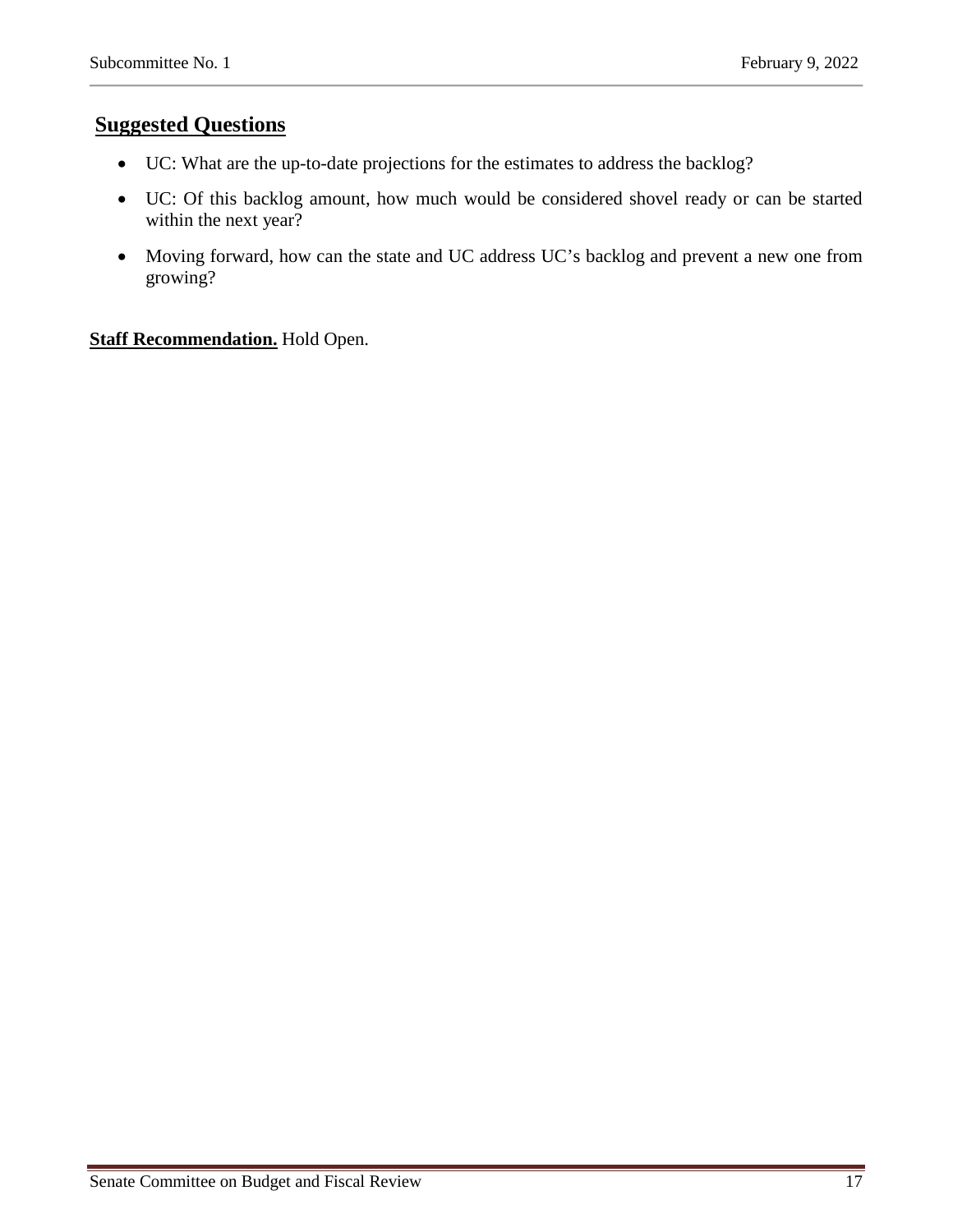## **Suggested Questions**

- UC: What are the up-to-date projections for the estimates to address the backlog?
- UC: Of this backlog amount, how much would be considered shovel ready or can be started within the next year?
- Moving forward, how can the state and UC address UC's backlog and prevent a new one from growing?

#### **Staff Recommendation.** Hold Open.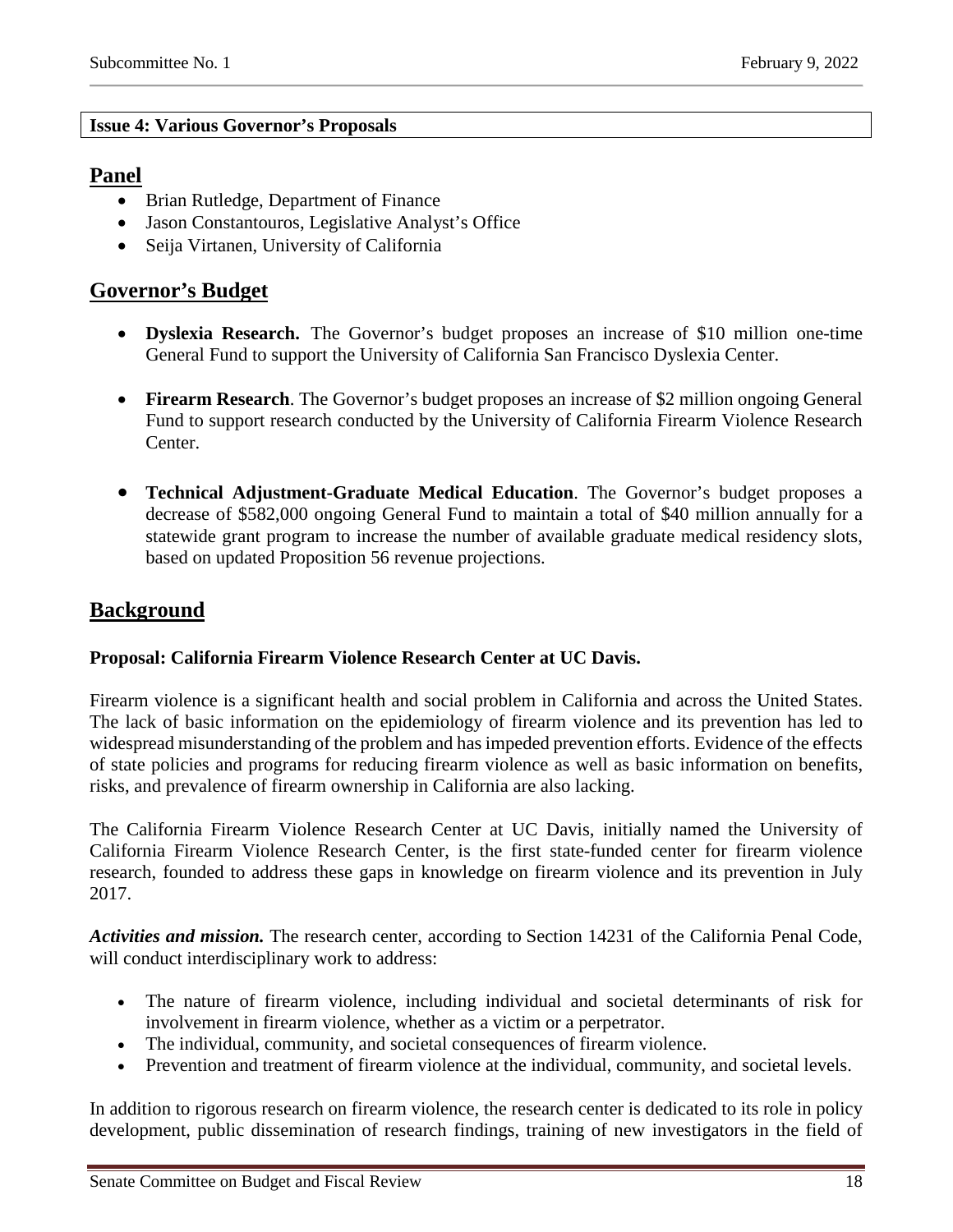#### **Issue 4: Various Governor's Proposals**

#### **Panel**

- Brian Rutledge, Department of Finance
- Jason Constantouros, Legislative Analyst's Office
- Seija Virtanen, University of California

## **Governor's Budget**

- **Dyslexia Research.** The Governor's budget proposes an increase of \$10 million one-time General Fund to support the University of California San Francisco Dyslexia Center.
- **Firearm Research**. The Governor's budget proposes an increase of \$2 million ongoing General Fund to support research conducted by the University of California Firearm Violence Research Center.
- **Technical Adjustment-Graduate Medical Education**. The Governor's budget proposes a decrease of \$582,000 ongoing General Fund to maintain a total of \$40 million annually for a statewide grant program to increase the number of available graduate medical residency slots, based on updated Proposition 56 revenue projections.

## **Background**

### **Proposal: California Firearm Violence Research Center at UC Davis.**

Firearm violence is a significant health and social problem in California and across the United States. The lack of basic information on the epidemiology of firearm violence and its prevention has led to widespread misunderstanding of the problem and has impeded prevention efforts. Evidence of the effects of state policies and programs for reducing firearm violence as well as basic information on benefits, risks, and prevalence of firearm ownership in California are also lacking.

The California Firearm Violence Research Center at UC Davis, initially named the University of California Firearm Violence Research Center, is the first state-funded center for firearm violence research, founded to address these gaps in knowledge on firearm violence and its prevention in July 2017.

*Activities and mission.* The research center, according to Section 14231 of the California Penal Code, will conduct interdisciplinary work to address:

- The nature of firearm violence, including individual and societal determinants of risk for involvement in firearm violence, whether as a victim or a perpetrator.
- The individual, community, and societal consequences of firearm violence.
- Prevention and treatment of firearm violence at the individual, community, and societal levels.

In addition to rigorous research on firearm violence, the research center is dedicated to its role in policy development, public dissemination of research findings, training of new investigators in the field of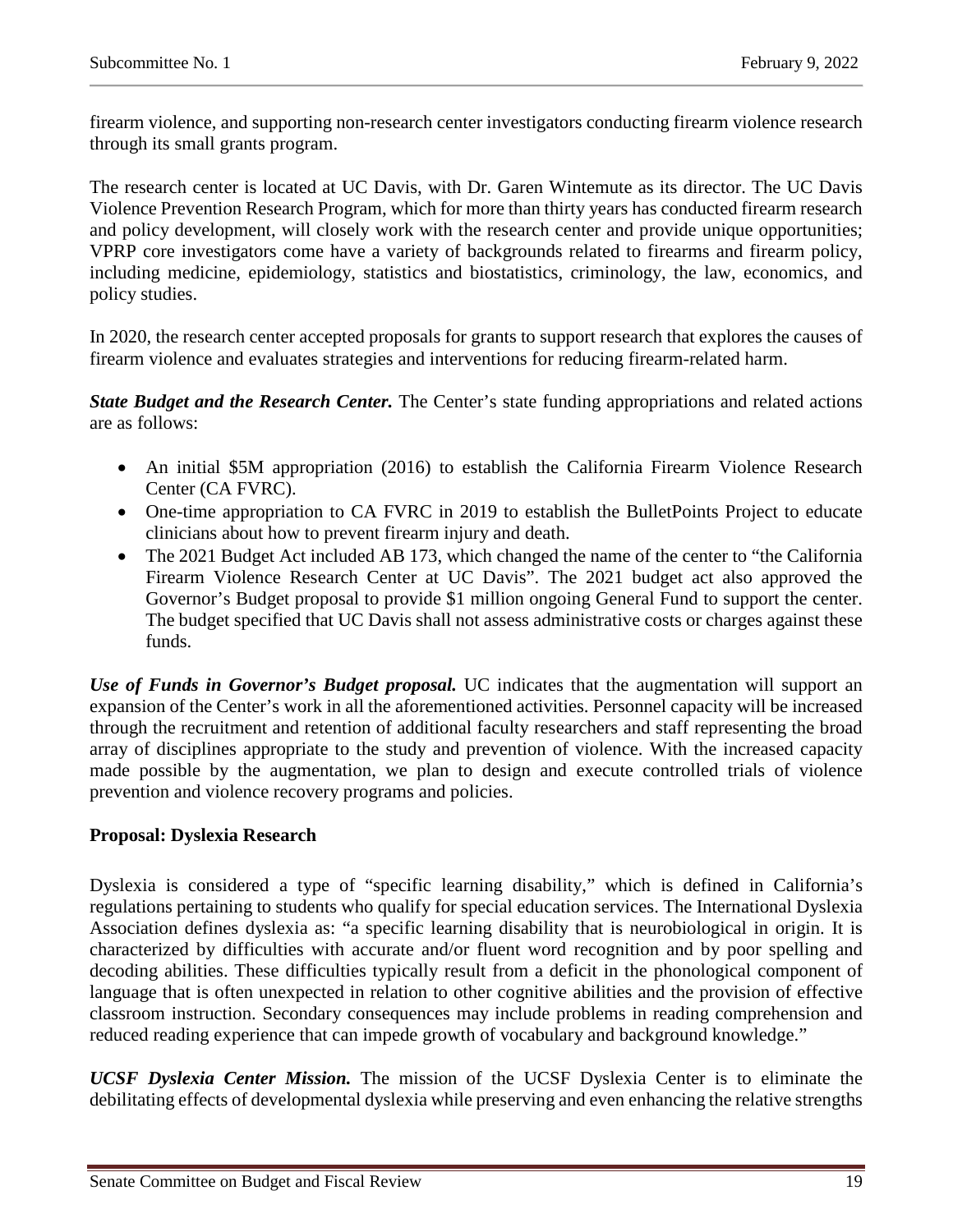firearm violence, and supporting non-research center investigators conducting firearm violence research through its small grants program.

The research center is located at UC Davis, with Dr. Garen Wintemute as its director. The UC Davis Violence Prevention Research Program, which for more than thirty years has conducted firearm research and policy development, will closely work with the research center and provide unique opportunities; VPRP core investigators come have a variety of backgrounds related to firearms and firearm policy, including medicine, epidemiology, statistics and biostatistics, criminology, the law, economics, and policy studies.

In 2020, the research center accepted proposals for grants to support research that explores the causes of firearm violence and evaluates strategies and interventions for reducing firearm-related harm.

*State Budget and the Research Center.* The Center's state funding appropriations and related actions are as follows:

- An initial \$5M appropriation (2016) to establish the California Firearm Violence Research Center (CA FVRC).
- One-time appropriation to CA FVRC in 2019 to establish the BulletPoints Project to educate clinicians about how to prevent firearm injury and death.
- The 2021 Budget Act included AB 173, which changed the name of the center to "the California" Firearm Violence Research Center at UC Davis". The 2021 budget act also approved the Governor's Budget proposal to provide \$1 million ongoing General Fund to support the center. The budget specified that UC Davis shall not assess administrative costs or charges against these funds.

*Use of Funds in Governor's Budget proposal.* UC indicates that the augmentation will support an expansion of the Center's work in all the aforementioned activities. Personnel capacity will be increased through the recruitment and retention of additional faculty researchers and staff representing the broad array of disciplines appropriate to the study and prevention of violence. With the increased capacity made possible by the augmentation, we plan to design and execute controlled trials of violence prevention and violence recovery programs and policies.

#### **Proposal: Dyslexia Research**

Dyslexia is considered a type of "specific learning disability," which is defined in California's regulations pertaining to students who qualify for special education services. The International Dyslexia Association defines dyslexia as: "a specific learning disability that is neurobiological in origin. It is characterized by difficulties with accurate and/or fluent word recognition and by poor spelling and decoding abilities. These difficulties typically result from a deficit in the phonological component of language that is often unexpected in relation to other cognitive abilities and the provision of effective classroom instruction. Secondary consequences may include problems in reading comprehension and reduced reading experience that can impede growth of vocabulary and background knowledge."

*UCSF Dyslexia Center Mission.* The mission of the UCSF Dyslexia Center is to eliminate the debilitating effects of developmental dyslexia while preserving and even enhancing the relative strengths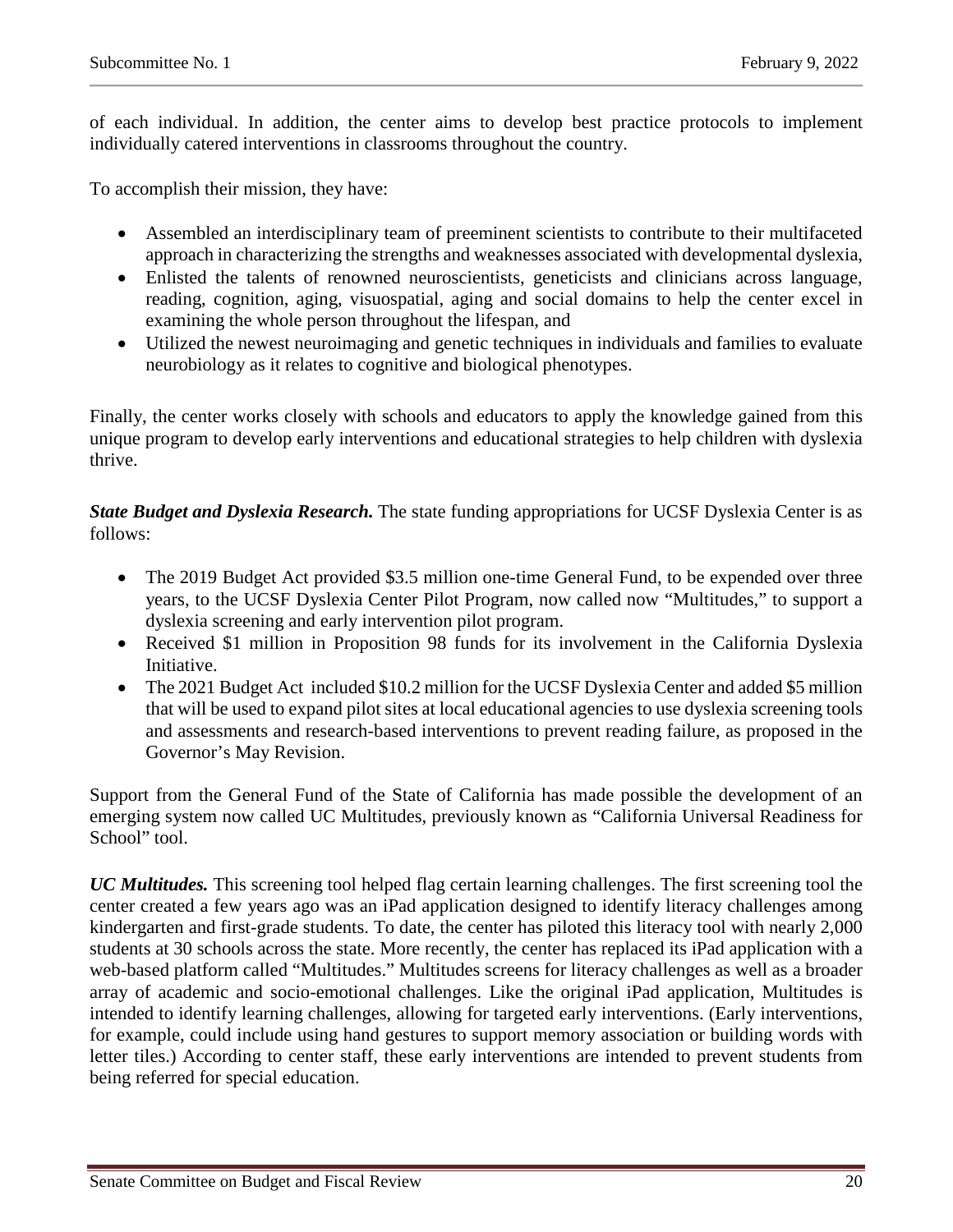of each individual. In addition, the center aims to develop best practice protocols to implement individually catered interventions in classrooms throughout the country.

To accomplish their mission, they have:

- Assembled an interdisciplinary team of preeminent scientists to contribute to their multifaceted approach in characterizing the strengths and weaknesses associated with developmental dyslexia,
- Enlisted the talents of renowned neuroscientists, geneticists and clinicians across language, reading, cognition, aging, visuospatial, aging and social domains to help the center excel in examining the whole person throughout the lifespan, and
- Utilized the newest neuroimaging and genetic techniques in individuals and families to evaluate neurobiology as it relates to cognitive and biological phenotypes.

Finally, the center works closely with schools and educators to apply the knowledge gained from this unique program to develop early interventions and educational strategies to help children with dyslexia thrive.

*State Budget and Dyslexia Research.* The state funding appropriations for UCSF Dyslexia Center is as follows:

- The 2019 Budget Act provided \$3.5 million one-time General Fund, to be expended over three years, to the UCSF Dyslexia Center Pilot Program, now called now "Multitudes," to support a dyslexia screening and early intervention pilot program.
- Received \$1 million in Proposition 98 funds for its involvement in the California Dyslexia Initiative.
- The 2021 Budget Act included \$10.2 million for the UCSF Dyslexia Center and added \$5 million that will be used to expand pilot sites at local educational agencies to use dyslexia screening tools and assessments and research-based interventions to prevent reading failure, as proposed in the Governor's May Revision.

Support from the General Fund of the State of California has made possible the development of an emerging system now called UC Multitudes, previously known as "California Universal Readiness for School" tool.

*UC Multitudes.* This screening tool helped flag certain learning challenges. The first screening tool the center created a few years ago was an iPad application designed to identify literacy challenges among kindergarten and first-grade students. To date, the center has piloted this literacy tool with nearly 2,000 students at 30 schools across the state. More recently, the center has replaced its iPad application with a web-based platform called "Multitudes." Multitudes screens for literacy challenges as well as a broader array of academic and socio-emotional challenges. Like the original iPad application, Multitudes is intended to identify learning challenges, allowing for targeted early interventions. (Early interventions, for example, could include using hand gestures to support memory association or building words with letter tiles.) According to center staff, these early interventions are intended to prevent students from being referred for special education.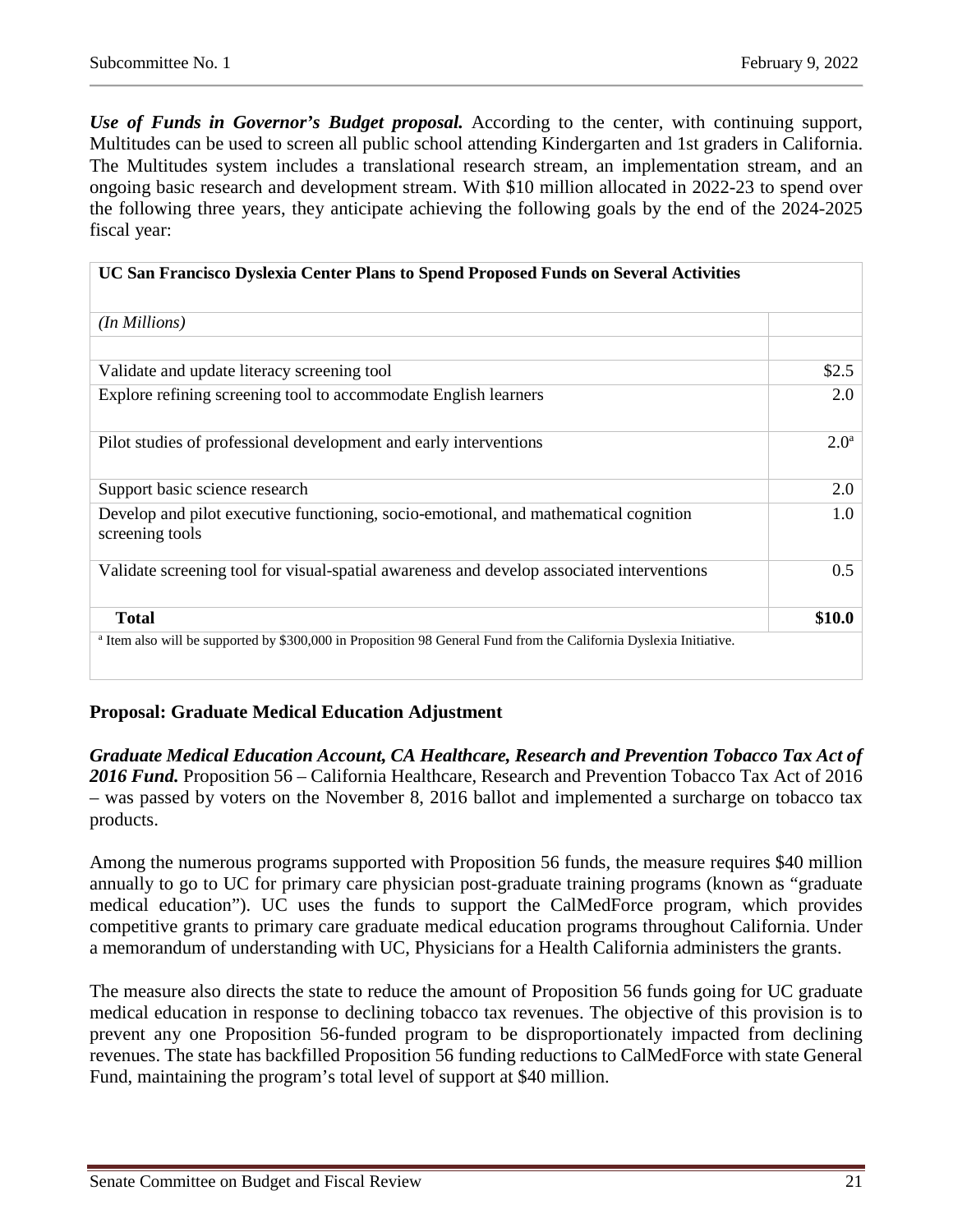*Use of Funds in Governor's Budget proposal.* According to the center, with continuing support, Multitudes can be used to screen all public school attending Kindergarten and 1st graders in California. The Multitudes system includes a translational research stream, an implementation stream, and an ongoing basic research and development stream. With \$10 million allocated in 2022-23 to spend over the following three years, they anticipate achieving the following goals by the end of the 2024-2025 fiscal year:

| UC San Francisco Dyslexia Center Plans to Spend Proposed Funds on Several Activities                                          |                  |
|-------------------------------------------------------------------------------------------------------------------------------|------------------|
| (In Millions)                                                                                                                 |                  |
|                                                                                                                               |                  |
| Validate and update literacy screening tool                                                                                   | \$2.5            |
| Explore refining screening tool to accommodate English learners                                                               | 2.0              |
| Pilot studies of professional development and early interventions                                                             | 2.0 <sup>a</sup> |
| Support basic science research                                                                                                | 2.0              |
| Develop and pilot executive functioning, socio-emotional, and mathematical cognition<br>screening tools                       | 1.0              |
| Validate screening tool for visual-spatial awareness and develop associated interventions                                     | 0.5              |
| <b>Total</b>                                                                                                                  | \$10.0           |
| <sup>a</sup> Item also will be supported by \$300,000 in Proposition 98 General Fund from the California Dyslexia Initiative. |                  |

#### **Proposal: Graduate Medical Education Adjustment**

*Graduate Medical Education Account, CA Healthcare, Research and Prevention Tobacco Tax Act of 2016 Fund.* Proposition 56 – California Healthcare, Research and Prevention Tobacco Tax Act of 2016 – was passed by voters on the November 8, 2016 ballot and implemented a surcharge on tobacco tax products.

Among the numerous programs supported with Proposition 56 funds, the measure requires \$40 million annually to go to UC for primary care physician post-graduate training programs (known as "graduate medical education"). UC uses the funds to support the CalMedForce program, which provides competitive grants to primary care graduate medical education programs throughout California. Under a memorandum of understanding with UC, Physicians for a Health California administers the grants.

The measure also directs the state to reduce the amount of Proposition 56 funds going for UC graduate medical education in response to declining tobacco tax revenues. The objective of this provision is to prevent any one Proposition 56-funded program to be disproportionately impacted from declining revenues. The state has backfilled Proposition 56 funding reductions to CalMedForce with state General Fund, maintaining the program's total level of support at \$40 million.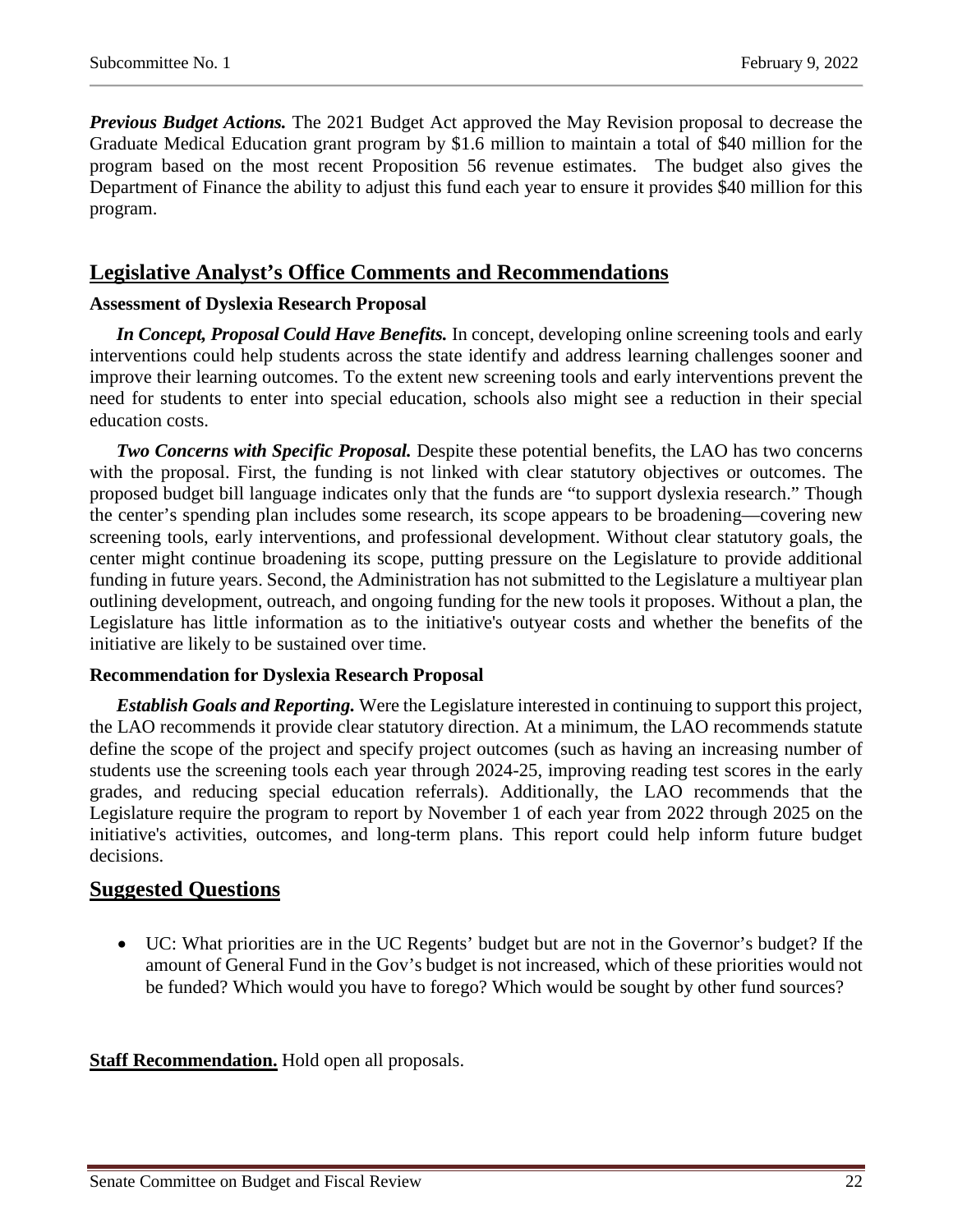*Previous Budget Actions.* The 2021 Budget Act approved the May Revision proposal to decrease the Graduate Medical Education grant program by \$1.6 million to maintain a total of \$40 million for the program based on the most recent Proposition 56 revenue estimates. The budget also gives the Department of Finance the ability to adjust this fund each year to ensure it provides \$40 million for this program.

## **Legislative Analyst's Office Comments and Recommendations**

#### **Assessment of Dyslexia Research Proposal**

*In Concept, Proposal Could Have Benefits.* In concept, developing online screening tools and early interventions could help students across the state identify and address learning challenges sooner and improve their learning outcomes. To the extent new screening tools and early interventions prevent the need for students to enter into special education, schools also might see a reduction in their special education costs.

*Two Concerns with Specific Proposal.* Despite these potential benefits, the LAO has two concerns with the proposal. First, the funding is not linked with clear statutory objectives or outcomes. The proposed budget bill language indicates only that the funds are "to support dyslexia research." Though the center's spending plan includes some research, its scope appears to be broadening—covering new screening tools, early interventions, and professional development. Without clear statutory goals, the center might continue broadening its scope, putting pressure on the Legislature to provide additional funding in future years. Second, the Administration has not submitted to the Legislature a multiyear plan outlining development, outreach, and ongoing funding for the new tools it proposes. Without a plan, the Legislature has little information as to the initiative's outyear costs and whether the benefits of the initiative are likely to be sustained over time.

#### **Recommendation for Dyslexia Research Proposal**

*Establish Goals and Reporting.* Were the Legislature interested in continuing to support this project, the LAO recommends it provide clear statutory direction. At a minimum, the LAO recommends statute define the scope of the project and specify project outcomes (such as having an increasing number of students use the screening tools each year through 2024-25, improving reading test scores in the early grades, and reducing special education referrals). Additionally, the LAO recommends that the Legislature require the program to report by November 1 of each year from 2022 through 2025 on the initiative's activities, outcomes, and long-term plans. This report could help inform future budget decisions.

### **Suggested Questions**

• UC: What priorities are in the UC Regents' budget but are not in the Governor's budget? If the amount of General Fund in the Gov's budget is not increased, which of these priorities would not be funded? Which would you have to forego? Which would be sought by other fund sources?

#### **Staff Recommendation.** Hold open all proposals.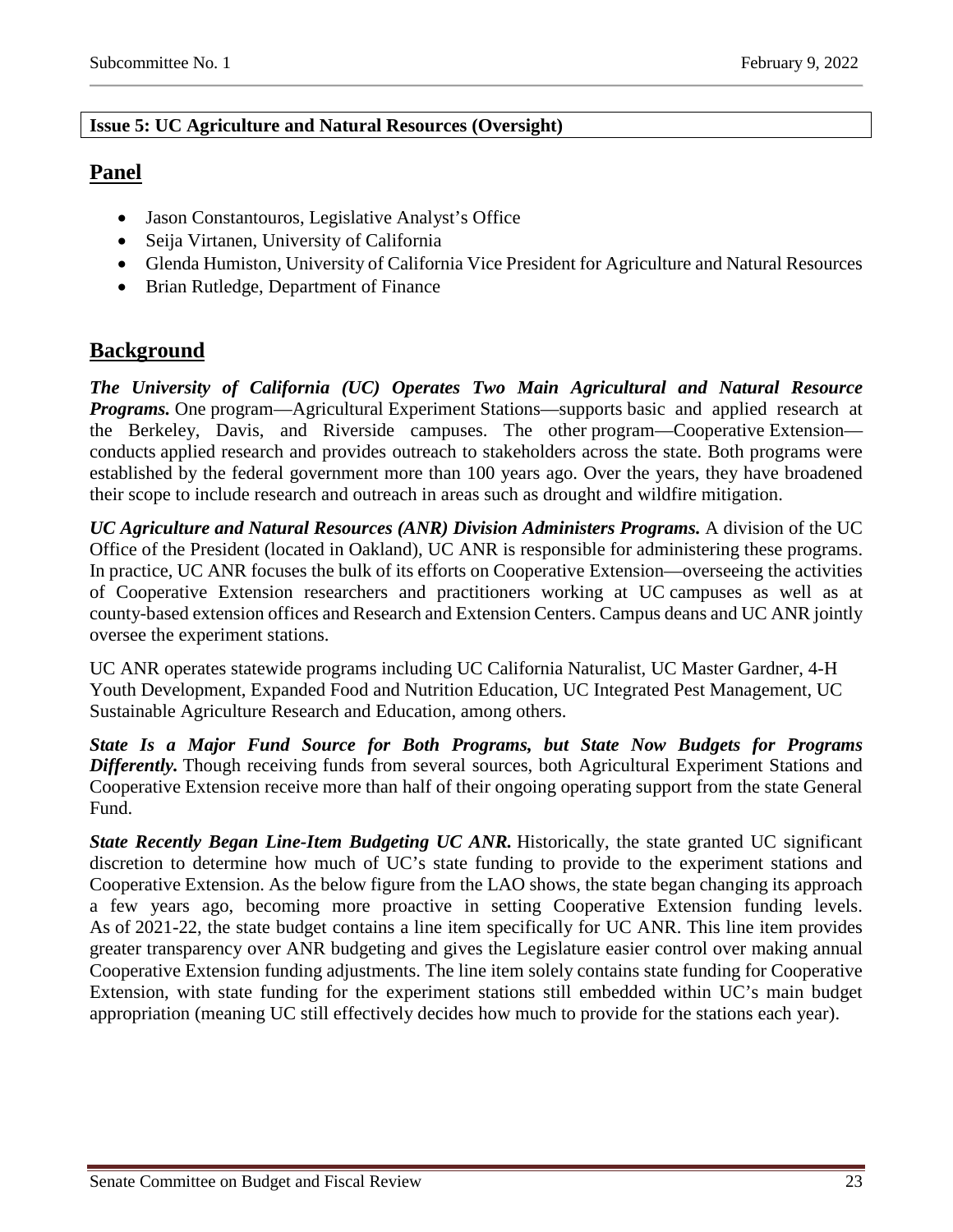#### **Issue 5: UC Agriculture and Natural Resources (Oversight)**

## **Panel**

- Jason Constantouros, Legislative Analyst's Office
- Seija Virtanen, University of California
- Glenda Humiston, University of California Vice President for Agriculture and Natural Resources
- Brian Rutledge, Department of Finance

## **Background**

*The University of California (UC) Operates Two Main Agricultural and Natural Resource Programs.* One program—Agricultural Experiment Stations—supports basic and applied research at the Berkeley, Davis, and Riverside campuses. The other program—Cooperative Extension conducts applied research and provides outreach to stakeholders across the state. Both programs were established by the federal government more than 100 years ago. Over the years, they have broadened their scope to include research and outreach in areas such as drought and wildfire mitigation.

*UC Agriculture and Natural Resources (ANR) Division Administers Programs.* A division of the UC Office of the President (located in Oakland), UC ANR is responsible for administering these programs. In practice, UC ANR focuses the bulk of its efforts on Cooperative Extension—overseeing the activities of Cooperative Extension researchers and practitioners working at UC campuses as well as at county-based extension offices and Research and Extension Centers. Campus deans and UC ANR jointly oversee the experiment stations.

UC ANR operates statewide programs including UC California Naturalist, UC Master Gardner, 4-H Youth Development, Expanded Food and Nutrition Education, UC Integrated Pest Management, UC Sustainable Agriculture Research and Education, among others.

*State Is a Major Fund Source for Both Programs, but State Now Budgets for Programs Differently.* Though receiving funds from several sources, both Agricultural Experiment Stations and Cooperative Extension receive more than half of their ongoing operating support from the state General Fund.

*State Recently Began Line-Item Budgeting UC ANR.* Historically, the state granted UC significant discretion to determine how much of UC's state funding to provide to the experiment stations and Cooperative Extension. As the below figure from the LAO shows, the state began changing its approach a few years ago, becoming more proactive in setting Cooperative Extension funding levels. As of 2021-22, the state budget contains a line item specifically for UC ANR. This line item provides greater transparency over ANR budgeting and gives the Legislature easier control over making annual Cooperative Extension funding adjustments. The line item solely contains state funding for Cooperative Extension, with state funding for the experiment stations still embedded within UC's main budget appropriation (meaning UC still effectively decides how much to provide for the stations each year).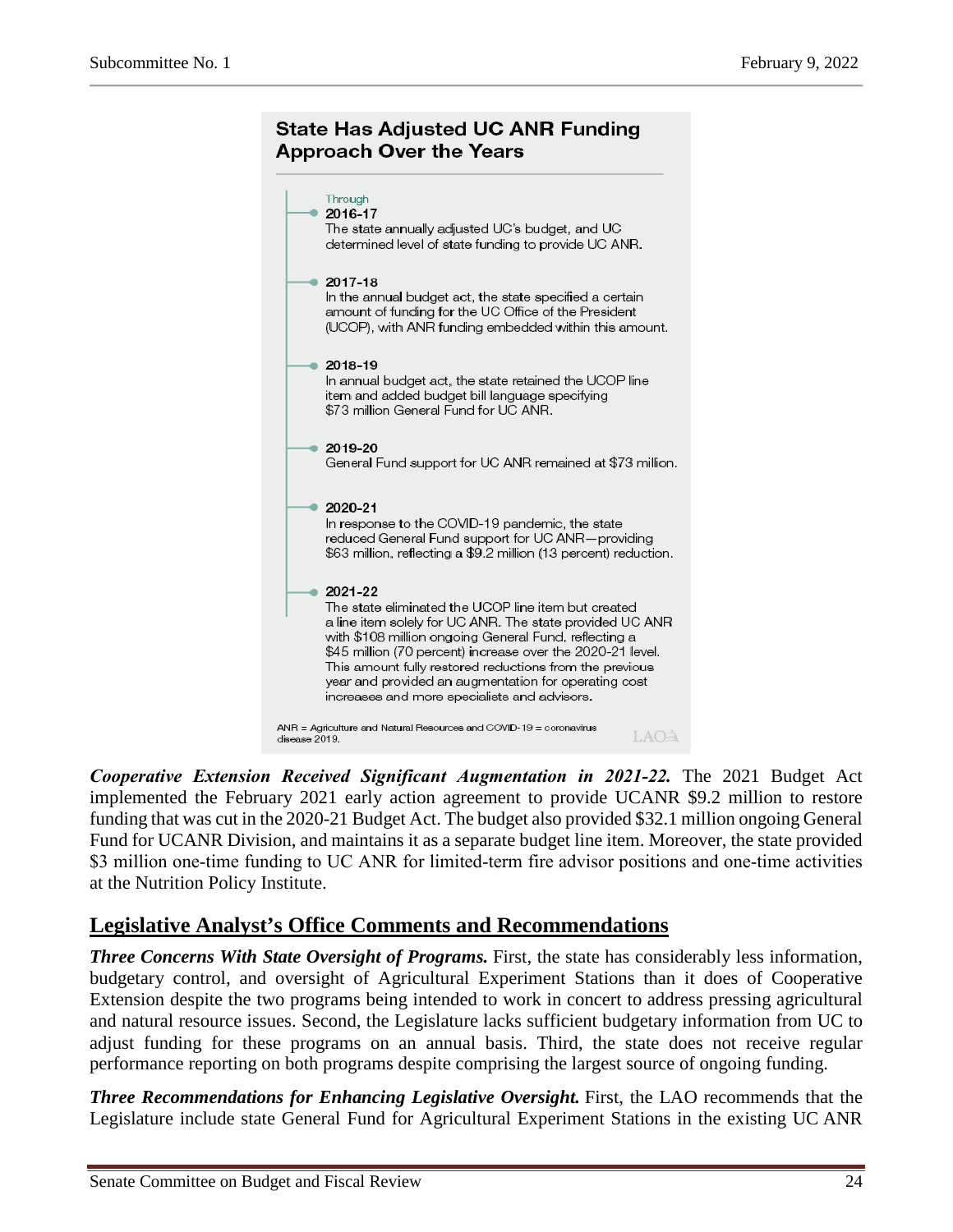## **State Has Adjusted UC ANR Funding Approach Over the Years**



*Cooperative Extension Received Significant Augmentation in 2021‑22.* The 2021 Budget Act implemented the February 2021 early action agreement to provide UCANR \$9.2 million to restore funding that was cut in the 2020-21 Budget Act. The budget also provided \$32.1 million ongoing General Fund for UCANR Division, and maintains it as a separate budget line item. Moreover, the state provided \$3 million one-time funding to UC ANR for limited-term fire advisor positions and one-time activities at the Nutrition Policy Institute.

## **Legislative Analyst's Office Comments and Recommendations**

*Three Concerns With State Oversight of Programs.* First, the state has considerably less information, budgetary control, and oversight of Agricultural Experiment Stations than it does of Cooperative Extension despite the two programs being intended to work in concert to address pressing agricultural and natural resource issues. Second, the Legislature lacks sufficient budgetary information from UC to adjust funding for these programs on an annual basis. Third, the state does not receive regular performance reporting on both programs despite comprising the largest source of ongoing funding.

*Three Recommendations for Enhancing Legislative Oversight.* First, the LAO recommends that the Legislature include state General Fund for Agricultural Experiment Stations in the existing UC ANR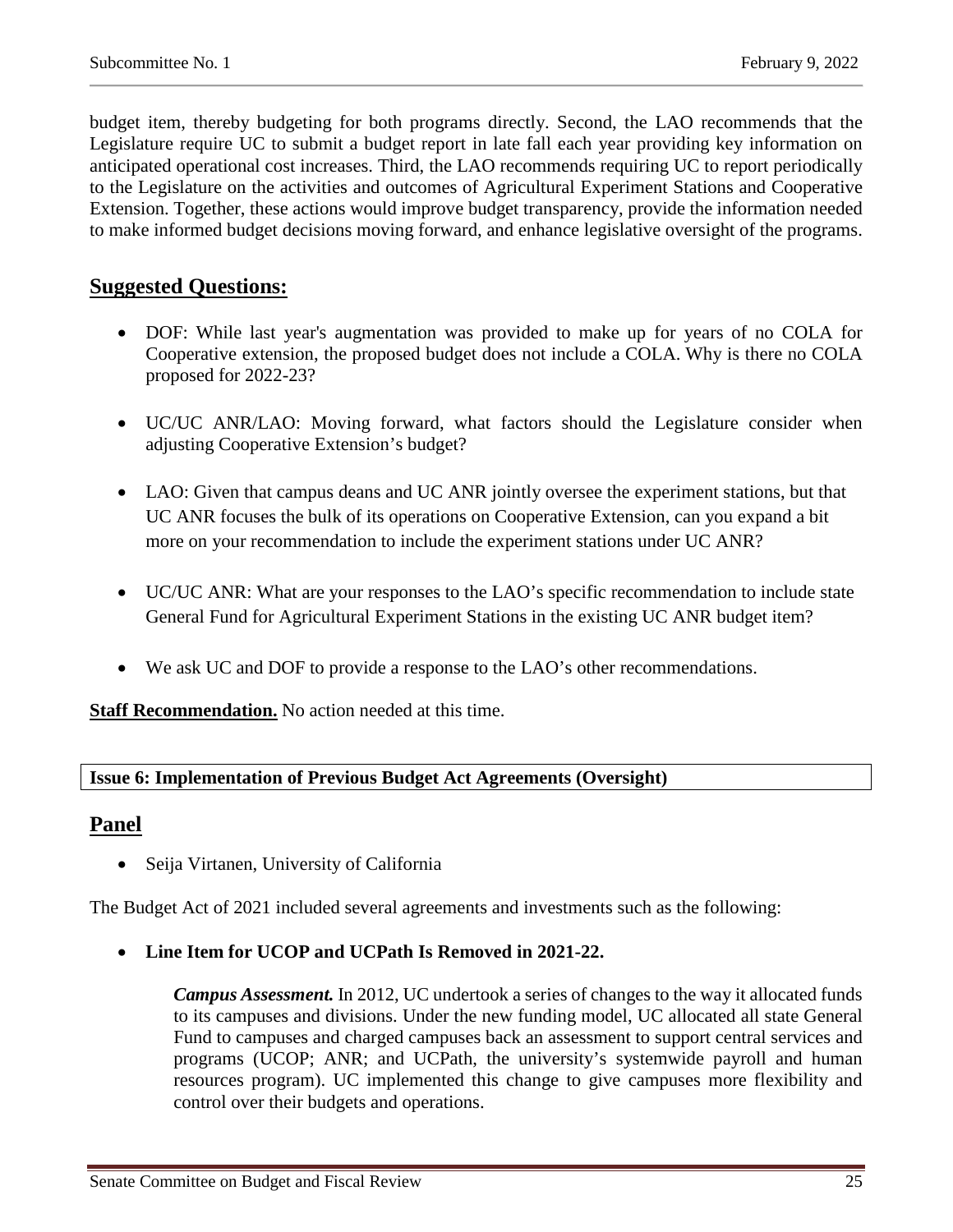budget item, thereby budgeting for both programs directly. Second, the LAO recommends that the Legislature require UC to submit a budget report in late fall each year providing key information on anticipated operational cost increases. Third, the LAO recommends requiring UC to report periodically to the Legislature on the activities and outcomes of Agricultural Experiment Stations and Cooperative Extension. Together, these actions would improve budget transparency, provide the information needed to make informed budget decisions moving forward, and enhance legislative oversight of the programs.

## **Suggested Questions:**

- DOF: While last year's augmentation was provided to make up for years of no COLA for Cooperative extension, the proposed budget does not include a COLA. Why is there no COLA proposed for 2022-23?
- UC/UC ANR/LAO: Moving forward, what factors should the Legislature consider when adjusting Cooperative Extension's budget?
- LAO: Given that campus deans and UC ANR jointly oversee the experiment stations, but that UC ANR focuses the bulk of its operations on Cooperative Extension, can you expand a bit more on your recommendation to include the experiment stations under UC ANR?
- UC/UC ANR: What are your responses to the LAO's specific recommendation to include state General Fund for Agricultural Experiment Stations in the existing UC ANR budget item?
- We ask UC and DOF to provide a response to the LAO's other recommendations.

**Staff Recommendation.** No action needed at this time.

#### **Issue 6: Implementation of Previous Budget Act Agreements (Oversight)**

### **Panel**

• Seija Virtanen, University of California

The Budget Act of 2021 included several agreements and investments such as the following:

• **Line Item for UCOP and UCPath Is Removed in 2021-22.**

*Campus Assessment.* In 2012, UC undertook a series of changes to the way it allocated funds to its campuses and divisions. Under the new funding model, UC allocated all state General Fund to campuses and charged campuses back an assessment to support central services and programs (UCOP; ANR; and UCPath, the university's systemwide payroll and human resources program). UC implemented this change to give campuses more flexibility and control over their budgets and operations.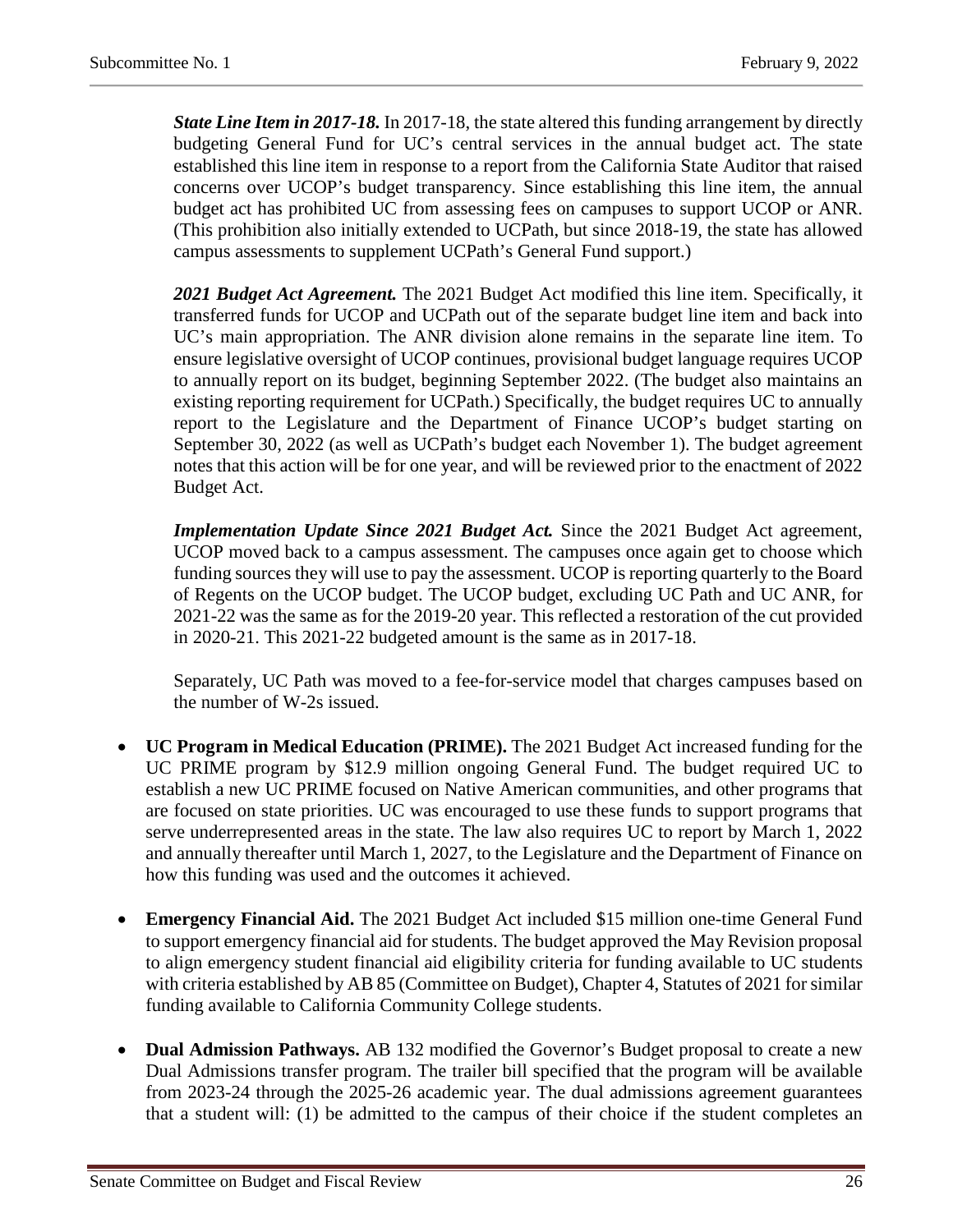*State Line Item in 2017-18.* In 2017-18, the state altered this funding arrangement by directly budgeting General Fund for UC's central services in the annual budget act. The state established this line item in response to a report from the California State Auditor that raised concerns over UCOP's budget transparency. Since establishing this line item, the annual budget act has prohibited UC from assessing fees on campuses to support UCOP or ANR. (This prohibition also initially extended to UCPath, but since 2018-19, the state has allowed campus assessments to supplement UCPath's General Fund support.)

*2021 Budget Act Agreement.* The 2021 Budget Act modified this line item. Specifically, it transferred funds for UCOP and UCPath out of the separate budget line item and back into UC's main appropriation. The ANR division alone remains in the separate line item. To ensure legislative oversight of UCOP continues, provisional budget language requires UCOP to annually report on its budget, beginning September 2022. (The budget also maintains an existing reporting requirement for UCPath.) Specifically, the budget requires UC to annually report to the Legislature and the Department of Finance UCOP's budget starting on September 30, 2022 (as well as UCPath's budget each November 1). The budget agreement notes that this action will be for one year, and will be reviewed prior to the enactment of 2022 Budget Act.

*Implementation Update Since 2021 Budget Act.* Since the 2021 Budget Act agreement, UCOP moved back to a campus assessment. The campuses once again get to choose which funding sources they will use to pay the assessment. UCOP is reporting quarterly to the Board of Regents on the UCOP budget. The UCOP budget, excluding UC Path and UC ANR, for 2021-22 was the same as for the 2019-20 year. This reflected a restoration of the cut provided in 2020-21. This 2021-22 budgeted amount is the same as in 2017-18.

Separately, UC Path was moved to a fee-for-service model that charges campuses based on the number of W-2s issued.

- **UC Program in Medical Education (PRIME).** The 2021 Budget Act increased funding for the UC PRIME program by \$12.9 million ongoing General Fund. The budget required UC to establish a new UC PRIME focused on Native American communities, and other programs that are focused on state priorities. UC was encouraged to use these funds to support programs that serve underrepresented areas in the state. The law also requires UC to report by March 1, 2022 and annually thereafter until March 1, 2027, to the Legislature and the Department of Finance on how this funding was used and the outcomes it achieved.
- **Emergency Financial Aid.** The 2021 Budget Act included \$15 million one-time General Fund to support emergency financial aid for students. The budget approved the May Revision proposal to align emergency student financial aid eligibility criteria for funding available to UC students with criteria established by AB 85 (Committee on Budget), Chapter 4, Statutes of 2021 for similar funding available to California Community College students.
- **Dual Admission Pathways.** AB 132 modified the Governor's Budget proposal to create a new Dual Admissions transfer program. The trailer bill specified that the program will be available from 2023-24 through the 2025-26 academic year. The dual admissions agreement guarantees that a student will: (1) be admitted to the campus of their choice if the student completes an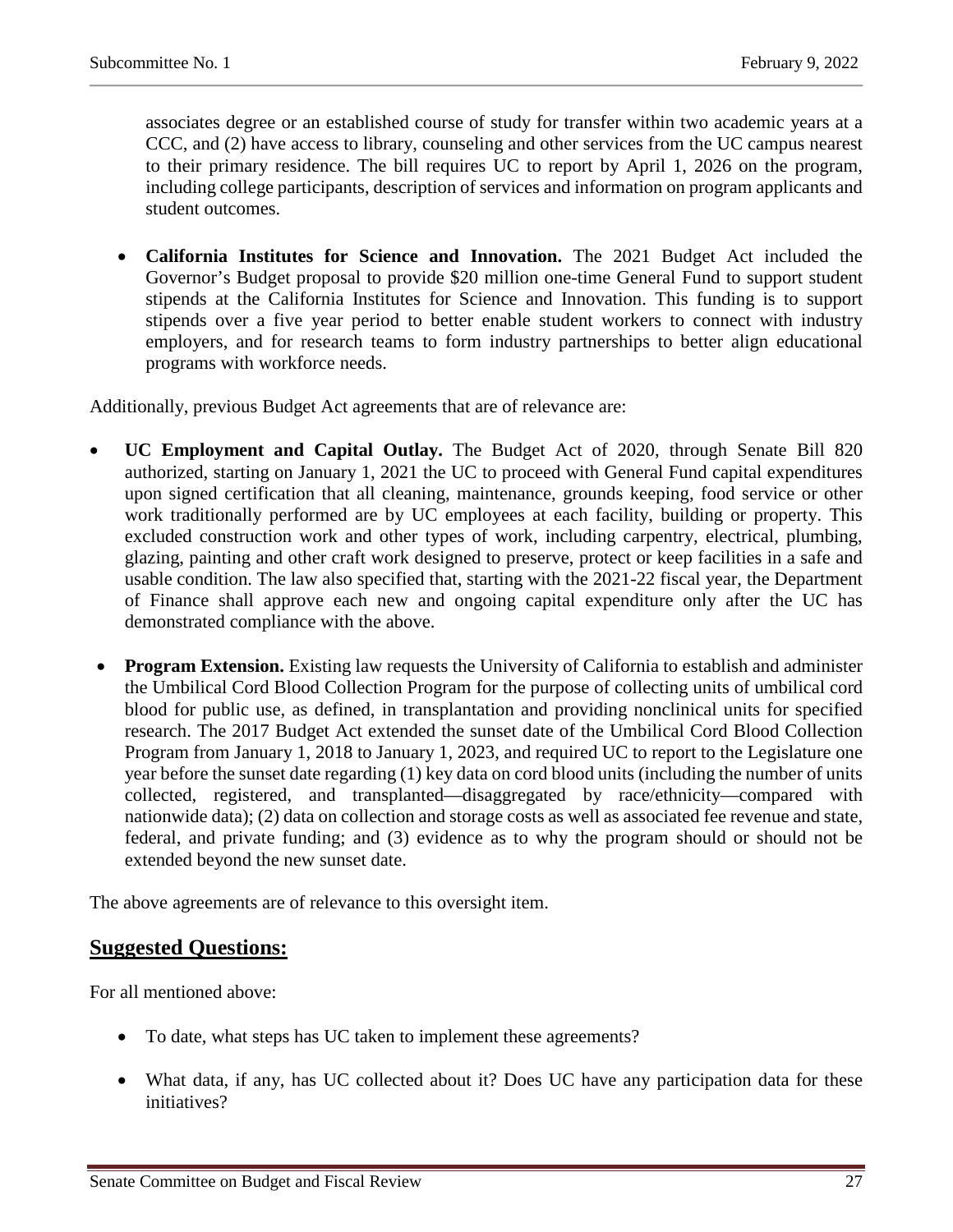associates degree or an established course of study for transfer within two academic years at a CCC, and (2) have access to library, counseling and other services from the UC campus nearest to their primary residence. The bill requires UC to report by April 1, 2026 on the program, including college participants, description of services and information on program applicants and student outcomes.

• **California Institutes for Science and Innovation.** The 2021 Budget Act included the Governor's Budget proposal to provide \$20 million one-time General Fund to support student stipends at the California Institutes for Science and Innovation. This funding is to support stipends over a five year period to better enable student workers to connect with industry employers, and for research teams to form industry partnerships to better align educational programs with workforce needs.

Additionally, previous Budget Act agreements that are of relevance are:

- **UC Employment and Capital Outlay.** The Budget Act of 2020, through Senate Bill 820 authorized, starting on January 1, 2021 the UC to proceed with General Fund capital expenditures upon signed certification that all cleaning, maintenance, grounds keeping, food service or other work traditionally performed are by UC employees at each facility, building or property. This excluded construction work and other types of work, including carpentry, electrical, plumbing, glazing, painting and other craft work designed to preserve, protect or keep facilities in a safe and usable condition. The law also specified that, starting with the 2021-22 fiscal year, the Department of Finance shall approve each new and ongoing capital expenditure only after the UC has demonstrated compliance with the above.
- **Program Extension.** Existing law requests the University of California to establish and administer the Umbilical Cord Blood Collection Program for the purpose of collecting units of umbilical cord blood for public use, as defined, in transplantation and providing nonclinical units for specified research. The 2017 Budget Act extended the sunset date of the Umbilical Cord Blood Collection Program from January 1, 2018 to January 1, 2023, and required UC to report to the Legislature one year before the sunset date regarding (1) key data on cord blood units (including the number of units collected, registered, and transplanted—disaggregated by race/ethnicity—compared with nationwide data); (2) data on collection and storage costs as well as associated fee revenue and state, federal, and private funding; and (3) evidence as to why the program should or should not be extended beyond the new sunset date.

The above agreements are of relevance to this oversight item.

### **Suggested Questions:**

For all mentioned above:

- To date, what steps has UC taken to implement these agreements?
- What data, if any, has UC collected about it? Does UC have any participation data for these initiatives?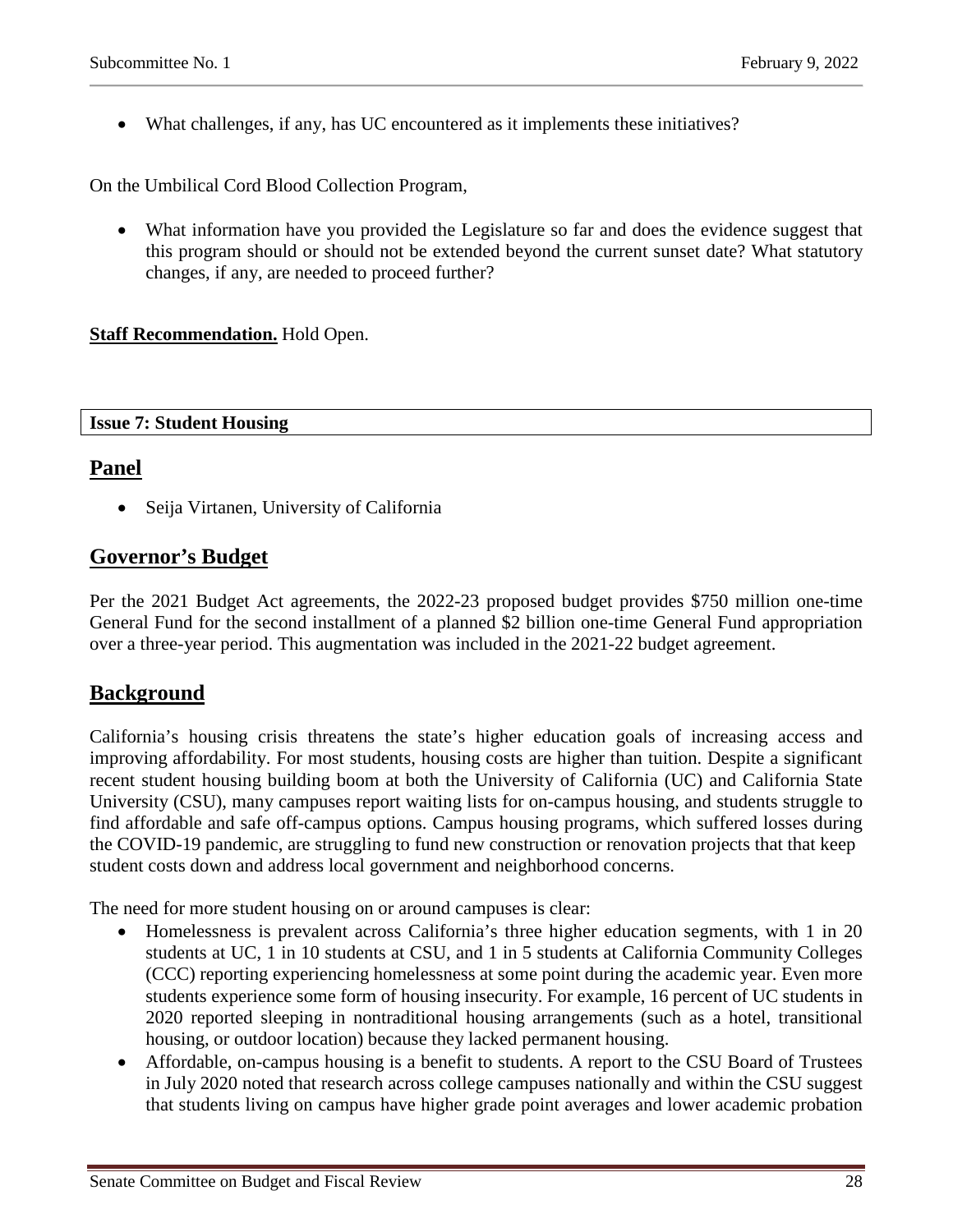• What challenges, if any, has UC encountered as it implements these initiatives?

On the Umbilical Cord Blood Collection Program,

• What information have you provided the Legislature so far and does the evidence suggest that this program should or should not be extended beyond the current sunset date? What statutory changes, if any, are needed to proceed further?

#### **Staff Recommendation.** Hold Open.

#### **Issue 7: Student Housing**

## **Panel**

• Seija Virtanen, University of California

## **Governor's Budget**

Per the 2021 Budget Act agreements, the 2022-23 proposed budget provides \$750 million one-time General Fund for the second installment of a planned \$2 billion one-time General Fund appropriation over a three-year period. This augmentation was included in the 2021-22 budget agreement.

## **Background**

California's housing crisis threatens the state's higher education goals of increasing access and improving affordability. For most students, housing costs are higher than tuition. Despite a significant recent student housing building boom at both the University of California (UC) and California State University (CSU), many campuses report waiting lists for on-campus housing, and students struggle to find affordable and safe off-campus options. Campus housing programs, which suffered losses during the COVID-19 pandemic, are struggling to fund new construction or renovation projects that that keep student costs down and address local government and neighborhood concerns.

The need for more student housing on or around campuses is clear:

- Homelessness is prevalent across California's three higher education segments, with 1 in 20 students at UC, 1 in 10 students at CSU, and 1 in 5 students at California Community Colleges (CCC) reporting experiencing homelessness at some point during the academic year. Even more students experience some form of housing insecurity. For example, 16 percent of UC students in 2020 reported sleeping in nontraditional housing arrangements (such as a hotel, transitional housing, or outdoor location) because they lacked permanent housing.
- Affordable, on-campus housing is a benefit to students. A report to the CSU Board of Trustees in July 2020 noted that research across college campuses nationally and within the CSU suggest that students living on campus have higher grade point averages and lower academic probation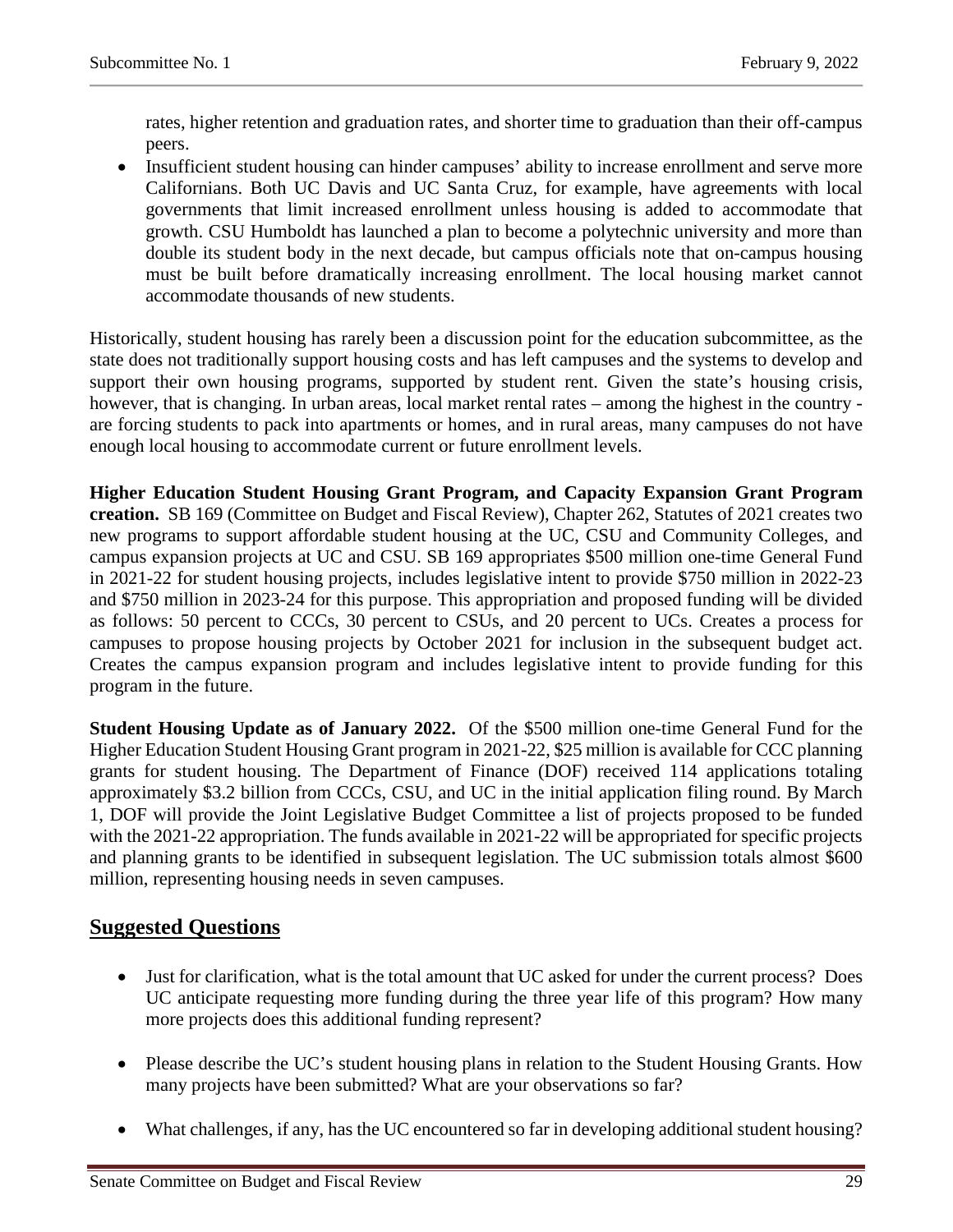rates, higher retention and graduation rates, and shorter time to graduation than their off-campus peers.

• Insufficient student housing can hinder campuses' ability to increase enrollment and serve more Californians. Both UC Davis and UC Santa Cruz, for example, have agreements with local governments that limit increased enrollment unless housing is added to accommodate that growth. CSU Humboldt has launched a plan to become a polytechnic university and more than double its student body in the next decade, but campus officials note that on-campus housing must be built before dramatically increasing enrollment. The local housing market cannot accommodate thousands of new students.

Historically, student housing has rarely been a discussion point for the education subcommittee, as the state does not traditionally support housing costs and has left campuses and the systems to develop and support their own housing programs, supported by student rent. Given the state's housing crisis, however, that is changing. In urban areas, local market rental rates – among the highest in the country are forcing students to pack into apartments or homes, and in rural areas, many campuses do not have enough local housing to accommodate current or future enrollment levels.

**Higher Education Student Housing Grant Program, and Capacity Expansion Grant Program creation.** SB 169 (Committee on Budget and Fiscal Review), Chapter 262, Statutes of 2021 creates two new programs to support affordable student housing at the UC, CSU and Community Colleges, and campus expansion projects at UC and CSU. SB 169 appropriates \$500 million one-time General Fund in 2021-22 for student housing projects, includes legislative intent to provide \$750 million in 2022-23 and \$750 million in 2023-24 for this purpose. This appropriation and proposed funding will be divided as follows: 50 percent to CCCs, 30 percent to CSUs, and 20 percent to UCs. Creates a process for campuses to propose housing projects by October 2021 for inclusion in the subsequent budget act. Creates the campus expansion program and includes legislative intent to provide funding for this program in the future.

**Student Housing Update as of January 2022.** Of the \$500 million one-time General Fund for the Higher Education Student Housing Grant program in 2021-22, \$25 million is available for CCC planning grants for student housing. The Department of Finance (DOF) received 114 applications totaling approximately \$3.2 billion from CCCs, CSU, and UC in the initial application filing round. By March 1, DOF will provide the Joint Legislative Budget Committee a list of projects proposed to be funded with the 2021-22 appropriation. The funds available in 2021-22 will be appropriated for specific projects and planning grants to be identified in subsequent legislation. The UC submission totals almost \$600 million, representing housing needs in seven campuses.

## **Suggested Questions**

- Just for clarification, what is the total amount that UC asked for under the current process? Does UC anticipate requesting more funding during the three year life of this program? How many more projects does this additional funding represent?
- Please describe the UC's student housing plans in relation to the Student Housing Grants. How many projects have been submitted? What are your observations so far?
- What challenges, if any, has the UC encountered so far in developing additional student housing?